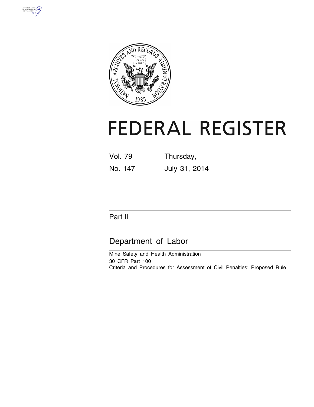



# **FEDERAL REGISTER**

| Vol. 79 | Thursday,     |  |  |
|---------|---------------|--|--|
| No. 147 | July 31, 2014 |  |  |

# Part II

# Department of Labor

Mine Safety and Health Administration

30 CFR Part 100 Criteria and Procedures for Assessment of Civil Penalties; Proposed Rule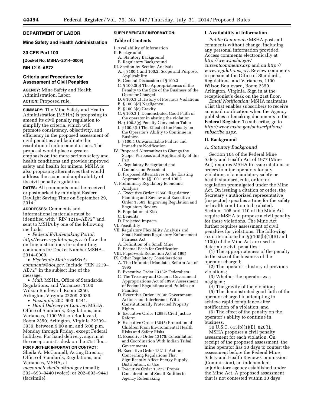# **DEPARTMENT OF LABOR**

#### **Mine Safety and Health Administration**

#### **30 CFR Part 100**

**[Docket No. MSHA–2014–0009]** 

#### **RIN 1219–AB72**

## **Criteria and Procedures for Assessment of Civil Penalties**

**AGENCY:** Mine Safety and Health Administration, Labor. **ACTION:** Proposed rule.

**SUMMARY:** The Mine Safety and Health Administration (MSHA) is proposing to amend its civil penalty regulation to simplify the criteria, which will promote consistency, objectivity, and efficiency in the proposed assessment of civil penalties and facilitate the resolution of enforcement issues. The proposal would place a greater emphasis on the more serious safety and health conditions and provide improved safety and health for miners. MSHA is also proposing alternatives that would address the scope and applicability of its civil penalty regulation.

**DATES:** All comments must be received or postmarked by midnight Eastern Daylight Saving Time on September 29, 2014.

**ADDRESSES:** Comments and informational materials must be identified with ''RIN 1219–AB72'' and sent to MSHA by one of the following methods:

• *Federal E-Rulemaking Portal: [http://www.regulations.gov.](http://www.regulations.gov)* Follow the on-line instructions for submitting comments for Docket Number MSHA– 2014–0009.

• *Electronic Mail: [zzMSHA](mailto:zzMSHA-comments@dol.gov)[comments@dol.gov.](mailto:zzMSHA-comments@dol.gov)* Include ''RIN 1219– AB72'' in the subject line of the message.

• *Mail:* MSHA, Office of Standards, Regulations, and Variances, 1100 Wilson Boulevard, Room 2350, Arlington, Virginia 22209–3939.

• *Facsimile:* 202–693–9441.

• *Hand Delivery or Courier:* MSHA, Office of Standards, Regulations, and Variances, 1100 Wilson Boulevard, Room 2350, Arlington, Virginia 22209– 3939, between 9:00 a.m. and 5:00 p.m. Monday through Friday, except Federal holidays. For hand delivery, sign in at the receptionist's desk on the 21st floor.

## **FOR FURTHER INFORMATION CONTACT:**

Sheila A. McConnell, Acting Director, Office of Standards, Regulations, and Variances, MSHA, at

*[mcconnell.sheila.a@dol.gov](mailto:mcconnell.sheila.a@dol.gov)* (email); 202–693–9440 (voice); or 202–693–9441 (facsimile).

# **SUPPLEMENTARY INFORMATION:**

# **Table of Contents**

- I. Availability of Information
- II. Background
- A. Statutory Background
- B. Regulatory Background III. Section-by-Section Analysis
- A. §§ 100.1 and 100.2; Scope and Purpose; Applicability
- B. General Discussion of § 100.3
- C. § 100.3(b) The Appropriateness of the Penalty to the Size of the Business of the Operator Charged
- D. § 100.3(c) History of Previous Violations
- E. § 100.3(d) Negligence
- F. § 100.3(e) Gravity
- G. § 100.3(f) Demonstrated Good Faith of the operator in abating the violation
- H. § 100.3(g) Penalty Conversion Table I. § 100.3(h) The Effect of the Penalty on the Operator's Ability to Continue in
- Business J. § 100.4 Unwarrantable Failure and
- Immediate Notification IV. Proposed Alternatives to Change the
- Scope, Purpose, and Applicability of this Part
- A. Regulatory Background and Commission Precedent
- B. Proposed Alternatives to the Existing Approach to §§ 100.1 and 100.2
- V. Preliminary Regulatory Economic Analysis
	- A. Executive Order 12866: Regulatory Planning and Review and Executive Order 13563: Improving Regulation and Regulatory Review
	- B. Population at Risk
- C. Benefits
- D. Projected Impacts
- VI. Feasibility
- VII. Regulatory Flexibility Analysis and Small Business Regulatory Enforcement Fairness Act
	- A. Definition of a Small Mine
- B. Factual Basis for Certification
- VIII. Paperwork Reduction Act of 1995
- IX. Other Regulatory Considerations
	- A. The Unfunded Mandates Reform Act of 1995
	- B. Executive Order 13132: Federalism
	- C. The Treasury and General Government Appropriations Act of 1999: Assessment of Federal Regulations and Policies on Families
	- D. Executive Order 12630: Government Actions and Interference With Constitutionally Protected Property Rights
	- E. Executive Order 12988: Civil Justice Reform
	- F. Executive Order 13045: Protection of Children From Environmental Health Risks and Safety Risks
	- G. Executive Order 13175: Consultation and Coordination With Indian Tribal Governments
	- H. Executive Order 13211: Actions Concerning Regulations That Significantly Affect Energy Supply, Distribution, or Use
	- I. Executive Order 13272: Proper Consideration of Small Entities in Agency Rulemaking

#### **I. Availability of Information**

*Public Comments:* MSHA posts all comments without change, including any personal information provided. Access comments electronically at *[http://www.msha.gov/](http://www.msha.gov/currentcomments.asp) [currentcomments.asp](http://www.msha.gov/currentcomments.asp)* and on *[http://](http://www.regulations.gov) [www.regulations.gov.](http://www.regulations.gov)* Review comments in person at the Office of Standards, Regulations, and Variances, 1100 Wilson Boulevard, Room 2350, Arlington, Virginia. Sign in at the receptionist's desk on the 21st floor.

*Email Notification:* MSHA maintains a list that enables subscribers to receive an email notification when the Agency publishes rulemaking documents in the **Federal Register**. To subscribe, go to *[http://www.msha.gov/subscriptions/](http://www.msha.gov/subscriptions/subscribe.aspx) [subscribe.aspx](http://www.msha.gov/subscriptions/subscribe.aspx)*.

#### **II. Background**

#### *A. Statutory Background*

Section 104 of the Federal Mine Safety and Health Act of 1977 (Mine Act) requires MSHA to issue citations or orders to mine operators for any violations of a mandatory safety or health standard, rule, order, or regulation promulgated under the Mine Act. On issuing a citation or order, the Secretary's authorized representative (inspector) specifies a time for the safety or health condition to be abated. Sections 105 and 110 of the Mine Act require MSHA to propose a civil penalty for these violations. The Mine Act further requires assessment of civil penalties for violations. The following six criteria listed in §§ 105(b)(1)(B) and 110(i) of the Mine Act are used to determine civil penalties:

(1) The appropriateness of the penalty to the size of the business of the operator charged;

(2) The operator's history of previous violations;

(3) Whether the operator was negligent;

(4) The gravity of the violation; (5) The demonstrated good faith of the operator charged in attempting to achieve rapid compliance after notification of a violation; and

(6) The effect of the penalty on the operator's ability to continue in business.

30 U.S.C. 815(b)(1)(B), 820(i).

MSHA proposes a civil penalty assessment for each violation. On receipt of the proposed assessment, the mine operator has 30 days to contest the assessment before the Federal Mine Safety and Health Review Commission (Commission), an independent adjudicatory agency established under the Mine Act. A proposed assessment that is not contested within 30 days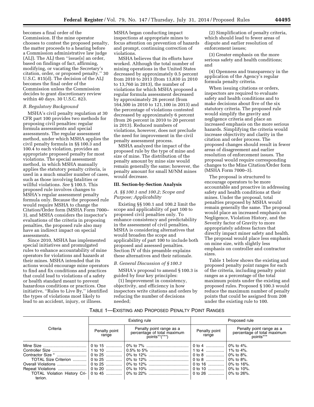becomes a final order of the Commission. If the mine operator chooses to contest the proposed penalty, the matter proceeds to a hearing before a Commission administrative law judge (ALJ). The ALJ then ''issue[s] an order, based on findings of fact, affirming, modifying, or vacating the Secretary's citation, order, or proposed penalty.'' 30 U.S.C. 815(d). The decision of the ALJ becomes the final order of the Commission unless the Commission decides to grant discretionary review within 40 days. 30 U.S.C. 823.

#### *B. Regulatory Background*

MSHA's civil penalty regulation at 30 CFR part 100 provides two methods for proposing civil penalties: regular formula assessments and special assessments. The regular assessment method, under which MSHA applies the civil penalty formula in §§ 100.3 and 100.4 to each violation, provides an appropriate proposed penalty for most violations. The special assessment method, in which MSHA manually applies the statutory penalty criteria, is used in a much smaller number of cases, such as those involving fatalities or willful violations. *See* § 100.5. This proposed rule involves changes to MSHA's regular assessment penalty formula only. Because the proposed rule would require MSHA to change the Citation/Order form (MSHA Form 7000– 3), and MSHA considers the inspector's evaluations of the criteria in proposing penalties, the proposed rule also may have an indirect impact on special assessments.

Since 2010, MSHA has implemented special initiatives and promulgated rules to enhance accountability of mine operators for violations and hazards at their mines. MSHA intended that its actions would encourage mine operators to find and fix conditions and practices that could lead to violations of a safety or health standard meant to prevent hazardous conditions or practices. One initiative, ''Rules to Live By,'' identified the types of violations most likely to lead to an accident, injury, or illness.

MSHA began conducting impact inspections at appropriate mines to focus attention on prevention of hazards and prompt, continuing correction of violations.

MSHA believes that its efforts have worked. Although the total number of mining operations in the United States decreased by approximately 0.5 percent from 2010 to 2013 (from 13,830 in 2010 to 13,760 in 2013), the number of violations for which MSHA proposed a regular formula assessment decreased by approximately 26 percent (from 164,500 in 2010 to 121,100 in 2013) and the percentage of violations contested decreased by approximately 6 percent (from 26 percent in 2010 to 20 percent in 2013). Reduced numbers of violations, however, does not preclude the need for improvement in the civil penalty assessment process.

MSHA analyzed the impact of the proposed rule by the type of mine and size of mine. The distribution of the penalty amount by mine size would remain generally the same; however, the penalty amount for small M/NM mines would decrease.

#### **III. Section-by-Section Analysis**

## *A. §§ 100.1 and 100.2; Scope and Purpose; Applicability*

Existing §§ 100.1 and 100.2 limit the scope and applicability of part 100 to proposed civil penalties only. To enhance consistency and predictability in the assessment of civil penalties, MSHA is considering alternatives that would broaden the scope and applicability of part 100 to include both proposed and assessed penalties. Section IV of this preamble explains these alternatives and their rationale.

#### *B. General Discussion of § 100.3*

MSHA's proposal to amend § 100.3 is guided by four key principles:

(1) Improvement in consistency, objectivity, and efficiency in how inspectors write citations and orders by reducing the number of decisions needed;

(2) Simplification of penalty criteria, which should lead to fewer areas of dispute and earlier resolution of enforcement issues;

(3) Greater emphasis on the more serious safety and health conditions; and

(4) Openness and transparency in the application of the Agency's regular formula penalty criteria.

When issuing citations or orders, inspectors are required to evaluate safety and health conditions and to make decisions about five of the six statutory criteria. The proposed rule would simplify the gravity and negligence criteria and place an increased emphasis on the more serious hazards. Simplifying the criteria would increase objectivity and clarity in the citation and order process. The proposed changes should result in fewer areas of disagreement and earlier resolution of enforcement issues. The proposal would require corresponding changes to the Mine Citation/Order form (MSHA Form 7000–3).

The proposal is structured to encourage operators to be more accountable and proactive in addressing safety and health conditions at their mines. Under the proposal, total penalties proposed by MSHA would remain generally the same. The proposal would place an increased emphasis on Negligence, Violation History, and the Severity factor of Gravity to more appropriately address factors that directly impact miner safety and health. The proposal would place less emphasis on mine size, with slightly less emphasis on controller and contractor sizes.

Table 1 below shows the existing and proposed penalty point ranges for each of the criteria, including penalty point ranges as a percentage of the total maximum points under the existing and proposed rules. Proposed § 100.3 would reduce the maximum number of penalty points that could be assigned from 208 under the existing rule to 100.

#### TABLE 1—EXISTING AND PROPOSED PENALTY POINT RANGES

|          |                                                                                                         | Existing rule | Proposed rule          |                                                                      |  |
|----------|---------------------------------------------------------------------------------------------------------|---------------|------------------------|----------------------------------------------------------------------|--|
| Criteria | Penalty point range as a<br>Penalty point<br>percentage of total maximum<br>range<br>$points^{**(***})$ |               | Penalty point<br>range | Penalty point range as a<br>percentage of total maximum<br>points*** |  |
|          | $\vert 0$ to 15                                                                                         |               | 0 to 4    0% to 4%.    |                                                                      |  |
|          |                                                                                                         |               |                        | 1% to 4%.                                                            |  |
|          |                                                                                                         |               |                        |                                                                      |  |
|          |                                                                                                         |               | 0 to 8    0% to 8%.    |                                                                      |  |
|          |                                                                                                         |               |                        |                                                                      |  |
|          |                                                                                                         |               |                        |                                                                      |  |
|          |                                                                                                         |               |                        |                                                                      |  |
| terion.  |                                                                                                         |               |                        |                                                                      |  |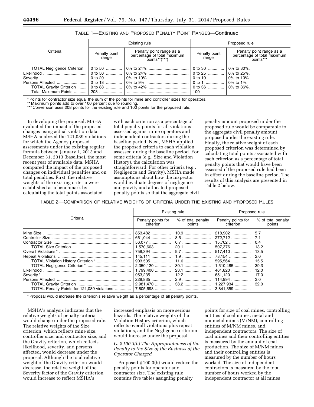|                                   |                        | Existing rule                                                            | Proposed rule          |                                                                      |  |
|-----------------------------------|------------------------|--------------------------------------------------------------------------|------------------------|----------------------------------------------------------------------|--|
| Criteria                          | Penalty point<br>range | Penalty point range as a<br>percentage of total maximum<br>points**(***) | Penalty point<br>range | Penalty point range as a<br>percentage of total maximum<br>points*** |  |
| <b>TOTAL Negligence Criterion</b> | 0 to 50                |                                                                          |                        | ∣ 0% to 30%.                                                         |  |
|                                   | 0 to 50                |                                                                          |                        |                                                                      |  |
|                                   |                        |                                                                          |                        | $\pm 0\%$ to 10%.                                                    |  |
| Persons Affected                  | 0 to 18                |                                                                          |                        | $10\%$ to 1%.                                                        |  |
| TOTAL Gravity Criterion           | 0 to 88 ……………!         |                                                                          |                        |                                                                      |  |
|                                   |                        |                                                                          | 100                    |                                                                      |  |

TABLE 1—EXISTING AND PROPOSED PENALTY POINT RANGES—Continued

\* Points for contractor size equal the sum of the points for mine and controller sizes for operators.

\*\* Maximum points add to over 100 percent due to rounding

\*\*\* Conversion uses 208 points for the existing rule and 100 points for the proposed rule.

In developing the proposal, MSHA evaluated the impact of the proposed changes using actual violation data. MSHA analyzed the 121,089 violations for which the Agency proposed assessments under the existing regular formula between January 1, 2013 and December 31, 2013 (baseline), the most recent year of available data. MSHA compared the impact of the proposed changes on individual penalties and on total penalties. First, the relative weights of the existing criteria were established as a benchmark by calculating the total points associated

with each criterion as a percentage of total penalty points for all violations assessed against mine operators and independent contractors during the baseline period. Next, MSHA applied the proposed criteria to each violation assessed during the baseline period. For some criteria (e.g., Size and Violation History), the calculation was straightforward. For other criteria (e.g., Negligence and Gravity), MSHA made assumptions about how the inspector would evaluate degrees of negligence and gravity and allocated proposed penalty points so that the aggregate civil

penalty amount proposed under the proposed rule would be comparable to the aggregate civil penalty amount proposed under the existing rule. Finally, the relative weight of each proposed criterion was determined by calculating total points associated with each criterion as a percentage of total penalty points that would have been assessed if the proposed rule had been in effect during the baseline period. The results of this analysis are presented in Table 2 below.

TABLE 2—COMPARISON OF RELATIVE WEIGHTS OF CRITERIA UNDER THE EXISTING AND PROPOSED RULES

|                                                           |                                 | Existing rule                | Proposed rule                                                                                                                                         |                                                                                  |
|-----------------------------------------------------------|---------------------------------|------------------------------|-------------------------------------------------------------------------------------------------------------------------------------------------------|----------------------------------------------------------------------------------|
| Criteria                                                  | Penalty points for<br>criterion | % of total penalty<br>points | Penalty points for<br>criterion                                                                                                                       | % of total penalty<br>points                                                     |
| Likelihood<br>TOTAL Penalty Points for 121,089 violations |                                 |                              | 272,712<br>15,762<br>507,376<br>78,154<br>595,564<br>1,510,485<br>461,820<br>651,120<br>114,994<br>  2.981.470    38.2    1.227.934   <br>$3.841.359$ | -5.7<br>7.1<br>0.4<br>13.2<br>2.0<br>15.5<br>39.3<br>12.0<br>17.0<br>3.0<br>32.0 |

\* Proposal would increase the criterion's relative weight as a percentage of all penalty points.

MSHA's analysis indicates that the relative weights of penalty criteria would change under the proposed rule. The relative weights of the Size criterion, which reflects mine size, controller size, and contractor size, and the Gravity criterion, which reflects likelihood, severity, and persons affected, would decrease under the proposal. Although the total relative weight of the Gravity criterion would decrease, the relative weight of the Severity factor of the Gravity criterion would increase to reflect MSHA's

increased emphasis on more serious hazards. The relative weights of the Violation History criterion, which reflects overall violations plus repeat violations, and the Negligence criterion would increase under the proposal.

#### *C. § 100.3(b) The Appropriateness of the Penalty to the Size of the Business of the Operator Charged*

Proposed § 100.3(b) would reduce the penalty points for operator and contractor size. The existing rule contains five tables assigning penalty

points for size of coal mines, controlling entities of coal mines, metal and nonmetal mines (M/NM), controlling entities of M/NM mines, and independent contractors. The size of coal mines and their controlling entities is measured by the amount of coal production. The size of M/NM mines and their controlling entities is measured by the number of hours worked. The size of independent contractors is measured by the total number of hours worked by the independent contractor at all mines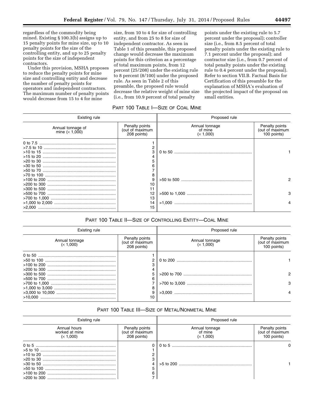regardless of the commodity being mined. Existing § 100.3(b) assigns up to 15 penalty points for mine size, up to 10 penalty points for the size of the controlling entity, and up to 25 penalty points for the size of independent contractors.

Under this provision, MSHA proposes to reduce the penalty points for mine size and controlling entity and decrease the number of penalty points for operators and independent contractors. The maximum number of penalty points would decrease from 15 to 4 for mine

size, from 10 to 4 for size of controlling entity, and from 25 to 8 for size of independent contractor. As seen in Table 1 of this preamble, this proposed change would decrease the maximum points for this criterion as a percentage of total maximum points, from 12 percent (25/208) under the existing rule to 8 percent (8/100) under the proposed rule. As seen in Table 2 of this preamble, the proposed rule would decrease the relative weight of mine size (i.e., from 10.9 percent of total penalty

points under the existing rule to 5.7 percent under the proposal); controller size (i.e., from 8.5 percent of total penalty points under the existing rule to 7.1 percent under the proposal); and contractor size (i.e., from 0.7 percent of total penalty points under the existing rule to 0.4 percent under the proposal). Refer to section VII.B. Factual Basis for Certification of this preamble for the explanation of MSHA's evaluation of the projected impact of the proposal on small entities.

# PART 100 TABLE I—SIZE OF COAL MINE

| Existing rule                         |                                                  | Proposed rule                          |                                                  |  |
|---------------------------------------|--------------------------------------------------|----------------------------------------|--------------------------------------------------|--|
| Annual tonnage of<br>mine $(x 1,000)$ | Penalty points<br>(out of maximum<br>208 points) | Annual tonnage<br>of mine<br>(x 1,000) | Penalty points<br>(out of maximum<br>100 points) |  |
|                                       | 3                                                |                                        |                                                  |  |
|                                       | 8<br>9<br>10<br>11                               |                                        |                                                  |  |
|                                       | 12                                               |                                        | з                                                |  |
|                                       | 13<br>14<br>15                                   |                                        |                                                  |  |

# PART 100 TABLE II—SIZE OF CONTROLLING ENTITY—COAL MINE

| Existing rule               |                                                  | Proposed rule               |                                                  |  |
|-----------------------------|--------------------------------------------------|-----------------------------|--------------------------------------------------|--|
| Annual tonnage<br>(x 1,000) | Penalty points<br>(out of maximum<br>208 points) | Annual tonnage<br>(x 1,000) | Penalty points<br>(out of maximum<br>100 points) |  |
|                             |                                                  |                             |                                                  |  |
|                             |                                                  |                             |                                                  |  |
|                             | 8                                                |                             | з                                                |  |
|                             | 10                                               |                             |                                                  |  |

# PART 100 TABLE III—SIZE OF METAL/NONMETAL MINE

| Existing rule                               |                                                  | Proposed rule                          |                                                  |  |
|---------------------------------------------|--------------------------------------------------|----------------------------------------|--------------------------------------------------|--|
| Annual hours<br>worked at mine<br>(x 1,000) | Penalty points<br>(out of maximum<br>208 points) | Annual tonnage<br>of mine<br>(x 1,000) | Penalty points<br>(out of maximum<br>100 points) |  |
|                                             |                                                  |                                        |                                                  |  |
|                                             |                                                  |                                        |                                                  |  |
|                                             |                                                  |                                        |                                                  |  |
|                                             |                                                  |                                        |                                                  |  |
|                                             |                                                  |                                        |                                                  |  |
|                                             |                                                  |                                        |                                                  |  |
|                                             |                                                  |                                        |                                                  |  |
|                                             |                                                  |                                        |                                                  |  |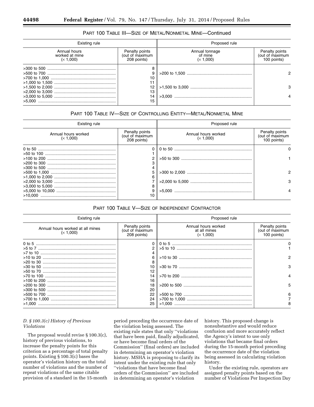# PART 100 TABLE III—SIZE OF METAL/NONMETAL MINE—Continued

| Existing rule                               |                                                  | Proposed rule                          |                                                  |  |
|---------------------------------------------|--------------------------------------------------|----------------------------------------|--------------------------------------------------|--|
| Annual hours<br>worked at mine<br>(x 1,000) | Penalty points<br>(out of maximum<br>208 points) | Annual tonnage<br>of mine<br>(x 1,000) | Penalty points<br>(out of maximum<br>100 points) |  |
|                                             | 8                                                |                                        |                                                  |  |
|                                             | 9                                                |                                        |                                                  |  |
|                                             | 10                                               |                                        |                                                  |  |
|                                             | 11                                               |                                        |                                                  |  |
|                                             | 12 <sup>°</sup>                                  |                                        | 3                                                |  |
|                                             | 13                                               |                                        |                                                  |  |
|                                             | 14                                               |                                        |                                                  |  |
|                                             | 15                                               |                                        |                                                  |  |

# PART 100 TABLE IV—SIZE OF CONTROLLING ENTITY—METAL/NONMETAL MINE

| Existing rule                    |                                                  | Proposed rule                    |                                                  |  |
|----------------------------------|--------------------------------------------------|----------------------------------|--------------------------------------------------|--|
| Annual hours worked<br>(x 1,000) | Penalty points<br>(out of maximum<br>208 points) | Annual hours worked<br>(x 1,000) | Penalty points<br>(out of maximum<br>100 points) |  |
|                                  |                                                  |                                  |                                                  |  |
|                                  |                                                  |                                  |                                                  |  |
|                                  | 2                                                |                                  |                                                  |  |
|                                  |                                                  |                                  |                                                  |  |
|                                  |                                                  |                                  |                                                  |  |
|                                  | 5                                                |                                  |                                                  |  |
|                                  | 6                                                |                                  |                                                  |  |
|                                  |                                                  |                                  | 3                                                |  |
|                                  | 8                                                |                                  |                                                  |  |
|                                  | 9                                                |                                  |                                                  |  |
|                                  | 10                                               |                                  |                                                  |  |

#### PART 100 TABLE V—SIZE OF INDEPENDENT CONTRACTOR

| Existing rule                                 |                                                  | Proposed rule                                    |                                                  |
|-----------------------------------------------|--------------------------------------------------|--------------------------------------------------|--------------------------------------------------|
| Annual hours worked at all mines<br>(x 1,000) | Penalty points<br>(out of maximum<br>208 points) | Annual hours worked<br>at all mines<br>(x 1,000) | Penalty points<br>(out of maximum<br>100 points) |
|                                               |                                                  |                                                  |                                                  |
|                                               | 2                                                |                                                  |                                                  |
|                                               | 4                                                |                                                  |                                                  |
|                                               | 6                                                |                                                  | っ                                                |
|                                               | 8                                                |                                                  |                                                  |
|                                               | 10                                               |                                                  | 3                                                |
|                                               | 12                                               |                                                  |                                                  |
|                                               | 14                                               |                                                  |                                                  |
|                                               | 16                                               |                                                  |                                                  |
|                                               | 18                                               |                                                  |                                                  |
|                                               | 20                                               |                                                  |                                                  |
|                                               | 22                                               |                                                  | 6                                                |
|                                               | 24                                               |                                                  |                                                  |
|                                               | 25                                               |                                                  | 8                                                |

# *D. § 100.3(c) History of Previous Violations*

The proposal would revise § 100.3(c), history of previous violations, to increase the penalty points for this criterion as a percentage of total penalty points. Existing § 100.3(c) bases the operator's violation history on the total number of violations and the number of repeat violations of the same citable provision of a standard in the 15-month

period preceding the occurrence date of the violation being assessed. The existing rule states that only ''violations that have been paid, finally adjudicated, or have become final orders of the Commission'' (final orders) are included in determining an operator's violation history. MSHA is proposing to clarify its intent under the existing rule that only ''violations that have become final orders of the Commission'' are included in determining an operator's violation

history. This proposed change is nonsubstantive and would reduce confusion and more accurately reflect the Agency's intent to use only violations that became final orders during the 15-month period preceding the occurrence date of the violation being assessed in calculating violation history.

Under the existing rule, operators are assigned penalty points based on the number of Violations Per Inspection Day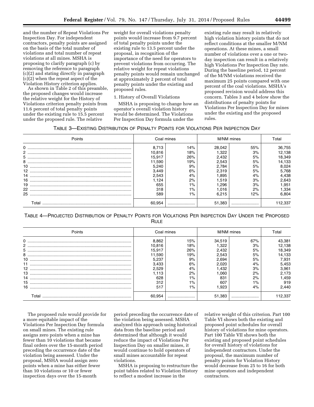and the number of Repeat Violations Per Inspection Day. For independent contractors, penalty points are assigned on the basis of the total number of violations and total number of repeat violations at all mines. MSHA is proposing to clarify paragraph (c) by removing the reference to paragraph (c)(2) and stating directly in paragraph (c)(2) when the repeat aspect of the Violation History criterion applies.

As shown in Table 2 of this preamble, the proposed changes would increase the relative weight for the History of Violations criterion penalty points from 11.6 percent of total penalty points under the existing rule to 15.5 percent under the proposed rule. The relative

weight for overall violations penalty points would increase from 9.7 percent of total penalty points under the existing rule to 13.5 percent under the proposal, in recognition of the importance of the need for operators to prevent violations from occurring. The relative weight for repeat violations penalty points would remain unchanged at approximately 2 percent of total penalty points under the existing and proposed rules.

#### 1. History of Overall Violations

MSHA is proposing to change how an operator's overall violation history would be determined. The Violations Per Inspection Day formula under the

existing rule may result in relatively high violation history points that do not reflect conditions at the smaller M/NM operations. At these mines, a small number of violations over a one or twoday inspection can result in a relatively high Violations Per Inspection Day rate. During the baseline period, 12 percent of the M/NM violations received the maximum 25 points compared with one percent of the coal violations. MSHA's proposed revision would address this concern. Tables 3 and 4 below show the distributions of penalty points for Violations Per Inspection Day for mines under the existing and the proposed rules.

| TABLE 3-EXISTING DISTRIBUTION OF PENALTY POINTS FOR VIOLATIONS PER INSPECTION DAY |  |
|-----------------------------------------------------------------------------------|--|
|-----------------------------------------------------------------------------------|--|

| Points | Coal mines |       | M/NM mines |     | otal   |  |
|--------|------------|-------|------------|-----|--------|--|
|        | 8.713      | 14%   | 28.042     | 55% | 36,755 |  |
|        | 10.816     | 18%   | .322       | 3%  | 12,138 |  |
|        | 15.917     | 26%   | 2.432      | 5%  | 18,349 |  |
|        | 11.590     | 19%   |            | 5%  | 14,133 |  |
| 10     | 5.240      | 9%    | 2.784      | 5%  | 8.024  |  |
|        | 3.449      | 6%    | 2.319      | 5%  | 5,768  |  |
|        | 2.543      | 4%    | .895       | 4%  | 4.438  |  |
|        | .124       | 2%    | 1.519      | 3%  | 2,643  |  |
| 19     | 655        | $1\%$ | .296       | 3%  | 1,951  |  |
|        | 318        | 1%    | 1.016      | 2%  | 1,334  |  |
| 25     | 589        | $1\%$ | 6.215      | 2%  | 6.804  |  |
| ⊺ota   |            |       | 51.383     |     | 337ء   |  |

| TABLE 4-PROJECTED DISTRIBUTION OF PENALTY POINTS FOR VIOLATIONS PER INSPECTION DAY UNDER THE PROPOSED |  |
|-------------------------------------------------------------------------------------------------------|--|
| <b>RULE</b>                                                                                           |  |

| Points |        | Coal mines |        | M/NM mines | Гotal  |
|--------|--------|------------|--------|------------|--------|
|        | 8.862  | 15%        | 34.519 | 67%        | 43,381 |
|        | 10.816 | 18%        | .322   | 3%         | 12,138 |
| 5      | 15.917 | 26%        | 2.432  | 5%         | 18.349 |
|        | 11.590 | 19%        | 2.543  | 5%         | 14,133 |
| 10     | 5.237  | 9%         | 2.694  | 5%         | 7.931  |
|        | 3.433  | 6%         | 2.020  | 4%         | 5,453  |
|        | 2.529  | 4%         | .432   | 3%         | 3.961  |
|        | .113   | 2%         | .060   | 2%         | 2,173  |
|        | 628    | 1%         | 831    | 2%         | 459. ا |
|        | 312    | 1%         | 607    | $1\%$      | 919    |
|        | 517    | $1\%$      | .923   | 4%         | 2.440  |
| . otal | 60.954 |            | 51,383 |            | 12.337 |

The proposed rule would provide for a more equitable impact of the Violations Per Inspection Day formula on small mines. The existing rule assigns zero points when a mine has fewer than 10 violations that became final orders over the 15-month period preceding the occurrence date of the violation being assessed. Under the proposal, MSHA would assign zero points when a mine has either fewer than 10 violations or 10 or fewer inspection days over the 15-month

period preceding the occurrence date of the violation being assessed. MSHA analyzed this approach using historical data from the baseline period and determined that although it would reduce the impact of Violations Per Inspection Day on smaller mines, it would continue to hold operators of small mines accountable for repeat violations.

MSHA is proposing to restructure the point tables related to Violation History to reflect a modest increase in the

relative weight of this criterion. Part 100 Table VI shows both the existing and proposed point schedules for overall history of violations for mine operators. Part 100 Table VII shows both the existing and proposed point schedules for overall history of violations for independent contractors. Under the proposal, the maximum number of penalty points for Violation History would decrease from 25 to 16 for both mine operators and independent contractors.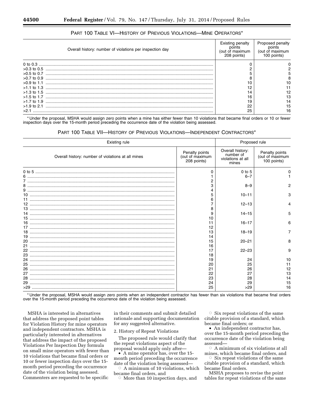| Overall history: number of violations per inspection day | <b>Existing penalty</b><br>of maximum<br>208 points) | Proposed penalty<br>(out of maximum<br>100 points |
|----------------------------------------------------------|------------------------------------------------------|---------------------------------------------------|
|                                                          |                                                      |                                                   |
|                                                          |                                                      |                                                   |
| $>0.5$ to 0.7                                            |                                                      |                                                   |
| $>0.7$ to 0.9                                            |                                                      |                                                   |
| $>0.9$ to 1.1                                            |                                                      |                                                   |
| $>1.1$ to 1.3                                            | 12                                                   |                                                   |
|                                                          |                                                      |                                                   |
| $>1.5$ to 1.7                                            | 16                                                   | з.                                                |
| $>1.7$ to 1.9                                            | 19                                                   |                                                   |
| $>1.9$ to 2.1                                            | 22                                                   | 5                                                 |
|                                                          | 25                                                   | 16                                                |

# PART 100 TABLE VI—HISTORY OF PREVIOUS VIOLATIONS—MINE OPERATORS\*

\* Under the proposal, MSHA would assign zero points when a mine has either fewer than 10 violations that became final orders or 10 or fewer inspection days over the 15-month period preceding the occurrence date of the violation being assessed.

#### PART 100 TABLE VII—HISTORY OF PREVIOUS VIOLATIONS—INDEPENDENT CONTRACTORS\*

| <b>Existing rule</b>                               |                                                  | Proposed rule                                               |                                                  |
|----------------------------------------------------|--------------------------------------------------|-------------------------------------------------------------|--------------------------------------------------|
| Overall history: number of violations at all mines | Penalty points<br>(out of maximum<br>208 points) | Overall history:<br>number of<br>violations at all<br>mines | Penalty points<br>(out of maximum<br>100 points) |
|                                                    | O                                                | $0$ to $5$                                                  |                                                  |
|                                                    |                                                  | $6 - 7$                                                     |                                                  |
|                                                    |                                                  |                                                             |                                                  |
|                                                    |                                                  | $8 - 9$                                                     | 2                                                |
|                                                    |                                                  |                                                             |                                                  |
| 10                                                 | 5                                                | $10 - 11$                                                   | 3                                                |
| 11                                                 |                                                  |                                                             |                                                  |
| 12                                                 |                                                  | $12 - 13$                                                   |                                                  |
| 13                                                 | 8                                                |                                                             |                                                  |
|                                                    | 9                                                | $14 - 15$                                                   | 5                                                |
| 15                                                 | 10                                               |                                                             |                                                  |
| 16                                                 | 11                                               | $16 - 17$                                                   | 6                                                |
| 17                                                 | 12                                               |                                                             |                                                  |
| 18                                                 | 13                                               | $18 - 19$                                                   |                                                  |
| 19                                                 | 14                                               |                                                             |                                                  |
| 20                                                 | 15                                               | $20 - 21$                                                   | 8                                                |
| 21                                                 | 16                                               |                                                             |                                                  |
| 22                                                 | 17                                               | $22 - 23$                                                   | 9                                                |
| 23                                                 | 18                                               |                                                             |                                                  |
| 24                                                 | 19                                               | 24                                                          | 10                                               |
| 25                                                 | 20                                               | 25                                                          | 11                                               |
| 26                                                 | 21                                               | 26                                                          | 12                                               |
| 27                                                 | 22                                               | 27                                                          | 13                                               |
| 28                                                 | 23                                               | 28                                                          | 14                                               |
| 29                                                 | 24                                               | 29                                                          | 15                                               |
|                                                    | 25                                               | >29                                                         | 16                                               |

\* Under the proposal, MSHA would assign zero points when an independent contractor has fewer than six violations that became final orders over the 15-month period preceding the occurrence date of the violation being assessed.

MSHA is interested in alternatives that address the proposed point tables for Violation History for mine operators and independent contractors. MSHA is particularly interested in alternatives that address the impact of the proposed Violations Per Inspection Day formula on small mine operators with fewer than 10 violations that became final orders or 10 or fewer inspection days over the 15 month period preceding the occurrence date of the violation being assessed. Commenters are requested to be specific

in their comments and submit detailed rationale and supporting documentation for any suggested alternative.

2. History of Repeat Violations

The proposed rule would clarify that the repeat violations aspect of the proposal would apply only after—

• A mine operator has, over the 15 month period preceding the occurrence date of the violation being assessed—

 $\circ$  A minimum of 10 violations, which became final orders, and

 $\bar{\circ}$ More than 10 inspection days, and

 $\circ$  Six repeat violations of the same citable provision of a standard, which became final orders; or

• An independent contractor has, over the 15-month period preceding the occurrence date of the violation being assessed—

 $\circ$  A minimum of six violations at all mines, which became final orders, and

 $\circ$  Six repeat violations of the same citable provision of a standard, which became final orders.

MSHA proposes to revise the point tables for repeat violations of the same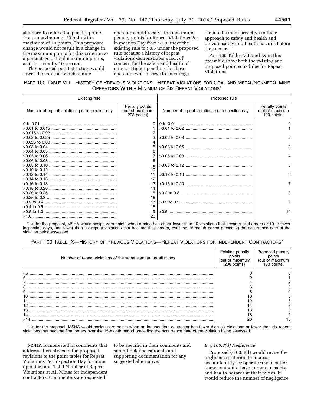standard to reduce the penalty points from a maximum of 20 points to a maximum of 10 points. This proposed change would not result in a change in the maximum points for this criterion as a percentage of total maximum points, as it is currently 10 percent.

The proposed point structure would lower the value at which a mine

operator would receive the maximum penalty points for Repeat Violations Per Inspection Day from >1.0 under the existing rule to >0.5 under the proposed rule because a history of repeat violations demonstrates a lack of concern for the safety and health of miners. Higher penalties for these operators would serve to encourage

them to be more proactive in their approach to safety and health and prevent safety and health hazards before they occur.

Part 100 Tables VIII and IX in this preamble show both the existing and proposed point schedules for Repeat Violations.

# PART 100 TABLE VIII—HISTORY OF PREVIOUS VIOLATIONS—REPEAT VIOLATIONS FOR COAL AND METAL/NONMETAL MINE OPERATORS WITH A MINIMUM OF SIX REPEAT VIOLATIONS\*

| Existing rule                                  |                                                  | Proposed rule                                  |                                                  |
|------------------------------------------------|--------------------------------------------------|------------------------------------------------|--------------------------------------------------|
| Number of repeat violations per inspection day | Penalty points<br>(out of maximum<br>208 points) | Number of repeat violations per inspection day | Penalty points<br>(out of maximum<br>100 points) |
|                                                | $\Omega$                                         |                                                | 0                                                |
|                                                |                                                  |                                                |                                                  |
|                                                | 2                                                |                                                |                                                  |
|                                                | 3                                                |                                                | 2                                                |
|                                                |                                                  |                                                |                                                  |
|                                                | 5                                                |                                                | 3                                                |
|                                                | 6                                                |                                                |                                                  |
|                                                |                                                  |                                                |                                                  |
|                                                | 8                                                |                                                |                                                  |
|                                                | 9                                                |                                                | 5                                                |
|                                                | 10                                               |                                                |                                                  |
|                                                | 11                                               |                                                | 6                                                |
|                                                | 12                                               |                                                |                                                  |
|                                                | 13                                               |                                                | $\overline{7}$                                   |
|                                                | 14                                               |                                                |                                                  |
|                                                | 15                                               |                                                | 8                                                |
|                                                | 16                                               |                                                |                                                  |
|                                                | 17                                               |                                                | 9                                                |
|                                                | 18                                               |                                                |                                                  |
|                                                | 19                                               |                                                | 10                                               |
|                                                | 20                                               |                                                |                                                  |

\* Under the proposal, MSHA would assign zero points when a mine has either fewer than 10 violations that became final orders or 10 or fewer inspection days, and fewer than six repeat violations that became final orders, over the 15-month period preceding the occurrence date of the violation being assessed.

# PART 100 TABLE IX—HISTORY OF PREVIOUS VIOLATIONS—REPEAT VIOLATIONS FOR INDEPENDENT CONTRACTORS\*

| Number of repeat violations of the same standard at all mines | <b>Existing penalty</b><br>out of maximum)<br>208 points) | Proposed penalty<br>(out of maxi |
|---------------------------------------------------------------|-----------------------------------------------------------|----------------------------------|
| $\leq 6$                                                      |                                                           |                                  |
| 6                                                             |                                                           |                                  |
|                                                               |                                                           |                                  |
| 8                                                             |                                                           |                                  |
| 9                                                             |                                                           |                                  |
|                                                               |                                                           |                                  |
|                                                               |                                                           |                                  |
|                                                               |                                                           |                                  |
| 13                                                            | 16                                                        |                                  |
| 14                                                            | 18                                                        |                                  |
| >14                                                           | 20                                                        |                                  |

\* Under the proposal, MSHA would assign zero points when an independent contractor has fewer than six violations or fewer than six repeat violations that became final orders over the 15-month period preceding the occurrence date of the violation being assessed.

MSHA is interested in comments that address alternatives to the proposed revisions to the point tables for Repeat Violations Per Inspection Day for mine operators and Total Number of Repeat Violations at All Mines for independent contractors. Commenters are requested

to be specific in their comments and submit detailed rationale and supporting documentation for any suggested alternative.

## *E. § 100.3(d) Negligence*

Proposed § 100.3(d) would revise the negligence criterion to increase accountability for operators who either knew, or should have known, of safety and health hazards at their mines. It would reduce the number of negligence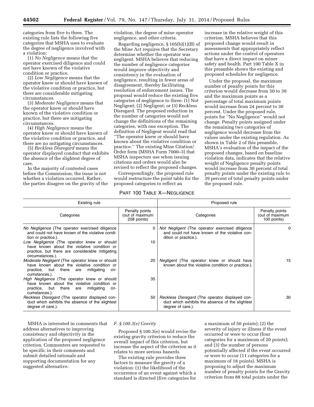categories from five to three. The existing rule lists the following five categories that MSHA uses to evaluate the degree of negligence involved with a violation:

(1) *No Negligence* means that the operator exercised diligence and could not have known of the violative condition or practice.

(2) *Low Negligence* means that the operator knew or should have known of the violative condition or practice, but there are considerable mitigating circumstances.

(3) *Moderate Negligence* means that the operator knew or should have known of the violative condition or practice, but there are mitigating circumstances.

(4) *High Negligence* means the operator knew or should have known of the violative condition or practice, and there are no mitigating circumstances.

(5) *Reckless Disregard* means the operator displayed conduct that exhibits the absence of the slightest degree of care.

In the majority of contested cases before the Commission, the issue is not whether a violation occurred. Rather, the parties disagree on the gravity of the violation, the degree of mine operator negligence, and other criteria.

Regarding negligence, § 105(b)(1)(B) of the Mine Act requires that the Secretary determine whether the operator was negligent. MSHA believes that reducing the number of negligence categories would improve objectivity and consistency in the evaluation of negligence, resulting in fewer areas of disagreement, thereby facilitating resolution of enforcement issues. The proposal would reduce the existing five categories of negligence to three: (1) Not Negligent; (2) Negligent; or (3) Reckless Disregard. The proposed reduction in the number of categories would not change the definitions of the remaining categories, with one exception. The definition of Negligent would read that ''The operator knew or should have known about the violative condition or practice.'' The existing Mine Citation/ Order form (MSHA Form 7000–3) that MSHA inspectors use when issuing citations and orders would also be revised to reflect the proposed changes.

Correspondingly, the proposed rule would restructure the point table for the proposed categories to reflect an

# PART 100 TABLE X—NEGLIGENCE

increase in the relative weight of this criterion. MSHA believes that this proposed change would result in assessments that appropriately reflect actions under the control of operators that have a direct impact on miner safety and health. Part 100 Table X in this preamble shows the existing and proposed schedules for negligence.

Under the proposal, the maximum number of penalty points for this criterion would decrease from 50 to 30 and the maximum points as a percentage of total maximum points would increase from 24 percent to 30 percent. Under the proposed rule, points for ''No Negligence'' would not change. Penalty points assigned under the remaining two categories of negligence would decrease from the values under the existing regulation. As shown in Table 2 of this preamble, MSHA's evaluation of the impact of the proposed changes, based on baseline violation data, indicates that the relative weight of Negligence penalty points would increase from 30 percent of total penalty points under the existing rule to 39 percent of total penalty points under the proposed rule.

| Existing rule                                                                                                                                                                                                                                                                                   |                                                  | Proposed rule                                                                                                                   |                                                  |
|-------------------------------------------------------------------------------------------------------------------------------------------------------------------------------------------------------------------------------------------------------------------------------------------------|--------------------------------------------------|---------------------------------------------------------------------------------------------------------------------------------|--------------------------------------------------|
| Categories                                                                                                                                                                                                                                                                                      | Penalty points<br>(out of maximum<br>208 points) | Categories                                                                                                                      | Penalty points<br>(out of maximum<br>100 points) |
| No Negligence (The operator exercised diligence<br>and could not have known of the violative condi-<br>tion or practice.).<br>Low Negligence (The operator knew or should<br>have known about the violative condition or<br>practice, but there are considerable mitigating<br>circumstances.). | 0<br>10                                          | Not Negligent (The operator exercised diligence<br>and could not have known of the violative con-<br>dition or practice.).      | 0                                                |
| <i>Moderate Negligent</i> (The operator knew or should<br>have known about the violative condition or<br>practice, but there are<br>mitigating<br>cir-<br>cumstances.).                                                                                                                         | 20                                               | Negligent (The operator knew or should have<br>known about the violative condition or practice.).                               | 15                                               |
| High Negligence (The operator knew or should<br>have known about the violative condition or<br>practice, but there are<br>mitigating<br>cir-<br>cumstances.).                                                                                                                                   | 35                                               |                                                                                                                                 |                                                  |
| Reckless Disregard (The operator displayed con-<br>duct which exhibits the absence of the slightest<br>degree of care.).                                                                                                                                                                        | 50                                               | <i>Reckless Disregard</i> (The operator displayed con-<br>duct which exhibits the absence of the slightest<br>degree of care.). | 30                                               |

MSHA is interested in comments that address alternatives to improving consistency and objectivity in the application of the proposed negligence criterion. Commenters are requested to be specific in their comments and submit detailed rationale and supporting documentation for any suggested alternative.

#### *F. § 100.3(e) Gravity*

Proposed § 100.3(e) would revise the existing gravity criterion to reduce the overall impact of this criterion, but increase the aspect of the criterion as it relates to more serious hazards.

The existing rule provides three factors to measure the gravity of a violation: (1) the likelihood of the occurrence of an event against which a standard is directed (five categories for a maximum of 50 points); (2) the severity of injury or illness if the event occurred or were to occur (four categories for a maximum of 20 points); and (3) the number of persons potentially affected if the event occurred or were to occur (11 categories for a maximum of 18 points). MSHA is proposing to adjust the maximum number of penalty points for the Gravity criterion from 88 total points under the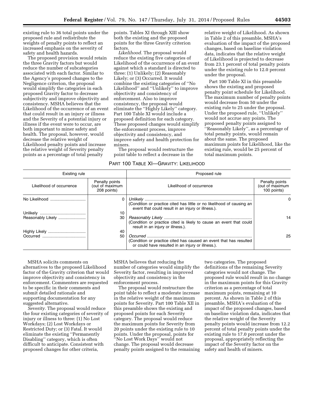existing rule to 36 total points under the proposed rule and redistribute the weights of penalty points to reflect an increased emphasis on the severity of safety and health hazards.

The proposed provision would retain the three Gravity factors but would reduce the number of subcategories associated with each factor. Similar to the Agency's proposed changes to the Negligence criterion, the proposal would simplify the categories in each proposed Gravity factor to decrease subjectivity and improve objectivity and consistency. MSHA believes that the Likelihood of the occurrence of an event that could result in an injury or illness and the Severity of a potential injury or illness if the event were to occur, are both important to miner safety and health. The proposal, however, would decrease the relative weight of Likelihood penalty points and increase the relative weight of Severity penalty points as a percentage of total penalty

points. Tables XI through XIII show both the existing and the proposed points for the three Gravity criterion factors.

*Likelihood.* The proposal would reduce the existing five categories of Likelihood of the occurrence of an event against which a standard is directed to three: (1) Unlikely; (2) Reasonably Likely; or (3) Occurred. It would combine the existing categories of ''No Likelihood'' and ''Unlikely'' to improve objectivity and consistency of enforcement. Also to improve consistency, the proposal would eliminate the ''Highly Likely'' category. Part 100 Table XI would include a proposed definition for each category. These proposed changes would simplify the enforcement process, improve objectivity and consistency, and improve safety and health protection for miners.

The proposal would restructure the point table to reflect a decrease in the

# PART 100 TABLE XI—GRAVITY: LIKELIHOOD

relative weight of Likelihood. As shown in Table 2 of this preamble, MSHA's evaluation of the impact of the proposed changes, based on baseline violation data, indicates that the relative weight of Likelihood is projected to decrease from 23.1 percent of total penalty points under the existing rule to 12.0 percent under the proposal.

Part 100 Table XI in this preamble shows the existing and proposed penalty point schedule for Likelihood. The maximum number of penalty points would decrease from 50 under the existing rule to 25 under the proposal. Under the proposed rule, ''Unlikely'' would not accrue any points. The proposed penalty points assigned to ''Reasonably Likely'', as a percentage of total penalty points, would remain about the same. The proposed maximum points for Likelihood, like the existing rule, would be 25 percent of total maximum points.

| Existing rule            |                                                  | Proposed rule                                                                                                                |                                                  |
|--------------------------|--------------------------------------------------|------------------------------------------------------------------------------------------------------------------------------|--------------------------------------------------|
| Likelihood of occurrence | Penalty points<br>(out of maximum<br>208 points) | Likelihood of occurrence                                                                                                     | Penalty points<br>(out of maximum<br>100 points) |
|                          |                                                  | (Condition or practice cited has little or no likelihood of causing an<br>event that could result in an injury or illness.). | 0                                                |
|                          | 10                                               |                                                                                                                              |                                                  |
| Reasonably Likely        | 30                                               | (Condition or practice cited is likely to cause an event that could<br>result in an injury or illness.).                     | 14                                               |
| Highly Likely            | 40                                               |                                                                                                                              |                                                  |
|                          | 50                                               | (Condition or practice cited has caused an event that has resulted<br>or could have resulted in an injury or illness.).      | 25                                               |

MSHA solicits comments on alternatives to the proposed Likelihood factor of the Gravity criterion that would improve objectivity and consistency in enforcement. Commenters are requested to be specific in their comments and submit detailed rationale and supporting documentation for any suggested alternative.

*Severity.* The proposal would reduce the four existing categories of severity of injury or illness to three: (1) No Lost Workdays; (2) Lost Workdays or Restricted Duty; or (3) Fatal. It would eliminate the existing ''Permanently Disabling'' category, which is often difficult to anticipate. Consistent with proposed changes for other criteria,

MSHA believes that reducing the number of categories would simplify the Severity factor, resulting in improved objectivity and consistency in the enforcement process.

The proposal would restructure the point table to reflect a moderate increase in the relative weight of the maximum points for Severity. Part 100 Table XII in this preamble shows the existing and proposed points for each Severity category. The proposal would reduce the maximum points for Severity from 20 points under the existing rule to 10 points. Under the proposal, points for ''No Lost Work Days'' would not change. The proposal would decrease penalty points assigned to the remaining

two categories. The proposed definitions of the remaining Severity categories would not change. The proposed rule would result in no change in the maximum points for this Gravity criterion as a percentage of total maximum points, remaining at 10 percent. As shown in Table 2 of this preamble, MSHA's evaluation of the impact of the proposed changes, based on baseline violation data, indicates that the relative weight of the Severity penalty points would increase from 12.2 percent of total penalty points under the existing rule to 17.0 percent under the proposal, appropriately reflecting the impact of the Severity factor on the safety and health of miners.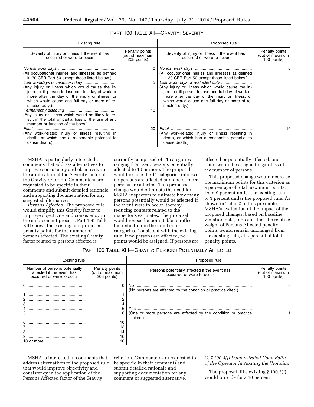| Existing rule                                                                                                                                                                                                                   |                                                  | Proposed rule                                                                                                                                                                                                                   |                                                  |
|---------------------------------------------------------------------------------------------------------------------------------------------------------------------------------------------------------------------------------|--------------------------------------------------|---------------------------------------------------------------------------------------------------------------------------------------------------------------------------------------------------------------------------------|--------------------------------------------------|
| Severity of injury or illness if the event has<br>occurred or were to occur                                                                                                                                                     | Penalty points<br>(out of maximum<br>208 points) | Severity of injury or illness If the event has<br>occurred or were to occur                                                                                                                                                     | Penalty points<br>(out of maximum<br>100 points) |
| (All occupational injuries and illnesses as defined<br>in 30 CFR Part 50 except those listed below.).                                                                                                                           | 0                                                | (All occupational injuries and illnesses as defined<br>in 30 CFR Part 50 except those listed below.).                                                                                                                           | 0                                                |
| (Any injury or illness which would cause the in-<br>jured or ill person to lose one full day of work or<br>more after the day of the injury or illness, or<br>which would cause one full day or more of re-<br>stricted duty.). | 5                                                | (Any injury or illness which would cause the in-<br>jured or ill person to lose one full day of work or<br>more after the day of the injury or illness, or<br>which would cause one full day or more of re-<br>stricted duty.). | 5                                                |
| (Any injury or illness which would be likely to re-<br>sult in the total or partial loss of the use of any<br>member or function of the body.).                                                                                 | 10                                               |                                                                                                                                                                                                                                 |                                                  |
| (Any work-related injury or illness resulting in<br>death, or which has a reasonable potential to<br>cause death.).                                                                                                             | 20                                               | (Any work-related injury or illness resulting in<br>death, or which has a reasonable potential to<br>cause death.).                                                                                                             | 10                                               |

# PART 100 TABLE XII—GRAVITY: SEVERITY

MSHA is particularly interested in comments that address alternatives to improve consistency and objectivity in the application of the Severity factor of the Gravity criterion. Commenters are requested to be specific in their comments and submit detailed rationale and supporting documentation for any suggested alternatives.

*Persons Affected.* The proposed rule would simplify this Gravity factor to improve objectivity and consistency in the enforcement process. Part 100 Table XIII shows the existing and proposed penalty points for the number of persons affected. The existing Gravity factor related to persons affected is

currently comprised of 11 categories ranging from zero persons potentially affected to 10 or more. The proposal would reduce the 11 categories into two: no persons are affected and one or more persons are affected. This proposed change would eliminate the need for MSHA inspectors to estimate how many persons potentially would be affected if the event were to occur, thereby reducing contests related to the inspector's estimates. The proposal would revise the point table to reflect the reduction in the number of categories. Consistent with the existing rule, if no persons are affected, no points would be assigned. If persons are

affected or potentially affected, one point would be assigned regardless of the number of persons.

This proposed change would decrease the maximum points for this criterion as a percentage of total maximum points, from 9 percent under the existing rule to 1 percent under the proposed rule. As shown in Table 2 of this preamble, MSHA's evaluation of the impact of the proposed changes, based on baseline violation data, indicates that the relative weight of Persons Affected penalty points would remain unchanged from the existing rule, at 3 percent of total penalty points.

# PART 100 TABLE XIII—GRAVITY: PERSONS POTENTIALLY AFFECTED

| Existing rule                                                                           |                                                  | Proposed rule                                                                                                                               |                                                  |
|-----------------------------------------------------------------------------------------|--------------------------------------------------|---------------------------------------------------------------------------------------------------------------------------------------------|--------------------------------------------------|
| Number of persons potentially<br>affected if the event has<br>occurred or were to occur | Penalty points<br>(out of maximum<br>208 points) | Persons potentially affected if the event has<br>occurred or were to occur                                                                  | Penalty points<br>(out of maximum<br>100 points) |
| 0<br>з<br>5<br>6                                                                        | 6<br>8<br>10                                     | (No persons are affected by the condition or practice cited.)<br>(One or more persons are affected by the condition or practice<br>cited.). |                                                  |
| 8<br>9                                                                                  | 12<br>14<br>16<br>18                             |                                                                                                                                             |                                                  |

MSHA is interested in comments that address alternatives to the proposed rule that would improve objectivity and consistency in the application of the Persons Affected factor of the Gravity

criterion. Commenters are requested to be specific in their comments and submit detailed rationale and supporting documentation for any comment or suggested alternative.

*G. § 100.3(f) Demonstrated Good Faith of the Operator in Abating the Violation* 

The proposal, like existing § 100.3(f), would provide for a 10 percent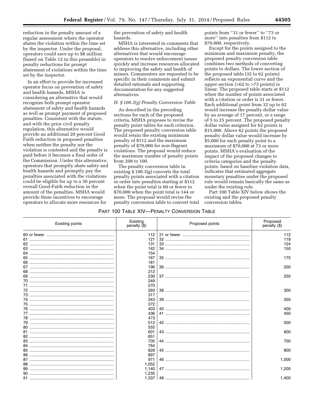reduction in the penalty amount of a regular assessment where the operator abates the violation within the time set by the inspector. Under the proposal, operators could save up to \$8 million (based on Table 12 in this preamble) in penalty reductions for prompt abatement of violations within the time set by the inspector.

In an effort to provide for increased operator focus on prevention of safety and health hazards, MSHA is considering an alternative that would recognize both prompt operator abatement of safety and health hazards as well as prompt payment of proposed penalties. Consistent with the statute, and with the prior civil penalty regulation, this alternative would provide an additional 20 percent Good Faith reduction in proposed penalties when neither the penalty nor the violation is contested and the penalty is paid before it becomes a final order of the Commission. Under this alternative, operators that promptly abate safety and health hazards and promptly pay the penalties associated with the violations could be eligible for up to a 30 percent overall Good-Faith reduction in the amount of the penalties. MSHA would provide these incentives to encourage operators to allocate more resources for

the prevention of safety and health hazards.

MSHA is interested in comments that address this alternative, including other alternatives that would encourage operators to resolve enforcement issues quickly and increase resources allocated to improving the safety and health of miners. Commenters are requested to be specific in their comments and submit detailed rationale and supporting documentation for any suggested alternatives.

#### *H. § 100.3(g) Penalty Conversion Table*

As described in the preceding sections for each of the proposed criteria, MSHA proposes to revise the penalty point tables for each criterion. The proposed penalty conversion table would retain the existing minimum penalty of \$112 and the maximum penalty of \$70,000 for non-flagrant violations. The proposal would reduce the maximum number of penalty points from 208 to 100.

The penalty conversion table in existing § 100.3(g) converts the total penalty points associated with a citation or order into penalties starting at \$112 when the point total is 60 or fewer to \$70,000 when the point total is 144 or more. The proposal would revise the penalty conversion table to convert total

points from ''31 or fewer'' to ''73 or more'' into penalties from \$112 to \$70,000, respectively.

Except for the points assigned to the minimum and maximum penalty, the proposed penalty conversion table combines two methods of converting points to dollars. The lower section of the proposed table (32 to 62 points) reflects an exponential curve and the upper section (>62 to >73 points) is linear. The proposed table starts at \$112 when the number of points associated with a citation or order is 31 or fewer. Each additional point from 32 up to 62 would increase the penalty dollar value by an average of 17 percent, or a range of 5 to 25 percent. The proposed penalty dollar value assigned for 62 points is \$15,000. Above 62 points the proposed penalty dollar value would increase by \$5,000 for each penalty point to a maximum of \$70,000 at 73 or more points. MSHA's evaluation of the impact of the proposed changes to criteria categories and the penalty points, based on baseline violation data, indicates that estimated aggregate monetary penalties under the proposed rule would remain basically the same as under the existing rule.

Part 100 Table XIV below shows the existing and the proposed penalty conversion tables.

#### PART 100 TABLE XIV—PENALTY CONVERSION TABLE

| <b>Existing points</b> | Existing<br>penalty (\$) | Proposed points | Proposed<br>penalty (\$) |
|------------------------|--------------------------|-----------------|--------------------------|
|                        | 112                      |                 | 112                      |
| 61                     | 121                      |                 | 118                      |
|                        | 131                      |                 | 124                      |
|                        | 142                      |                 | 150                      |
| 64                     | 154                      |                 |                          |
| 65                     | 167                      |                 | 175                      |
| 66                     | 181                      |                 |                          |
| 67                     | 196                      |                 | 200                      |
| 68                     | 212                      |                 |                          |
| 69                     | 230                      |                 | 250                      |
| 70                     | 249                      |                 |                          |
| 71                     | 270                      |                 |                          |
|                        | 293                      |                 | 300                      |
|                        | 317                      |                 |                          |
|                        | 343                      |                 | 350                      |
| 75                     | 372                      |                 |                          |
| 76                     | 403                      |                 | 400                      |
| 77                     | 436                      |                 | 450                      |
| 78                     | 473                      |                 |                          |
|                        | 512                      |                 | 500                      |
| 80                     | 555                      |                 |                          |
| 81                     | 601                      |                 | 600                      |
| 82                     | 651                      |                 |                          |
| 83                     | 705                      |                 | 700                      |
| 84                     | 764                      |                 |                          |
| 85                     | 828                      |                 | 800                      |
| 86                     | 897                      |                 |                          |
|                        | 971                      |                 | 1,000                    |
|                        | 1,052                    |                 |                          |
|                        | 1,140                    |                 | 1,200                    |
|                        | 1,235                    |                 |                          |
|                        | 1,337                    |                 | 1,400                    |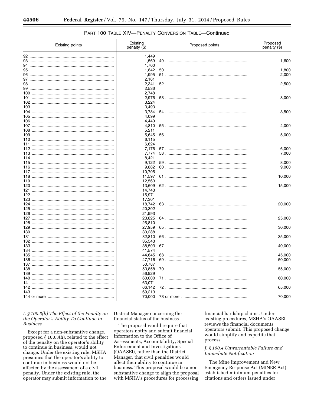| Existing points | Existing<br>penalty (\$) | Proposed points | Proposed<br>penalty (\$) |
|-----------------|--------------------------|-----------------|--------------------------|
|                 | 1,449                    |                 |                          |
|                 | 1,569                    |                 | 1,600                    |
|                 | 1,700                    |                 |                          |
|                 | 1,842                    |                 | 1,800                    |
|                 | 1,995                    |                 | 2,000                    |
|                 | 2,161<br>2,341           |                 | 2,500                    |
|                 | 2,536                    |                 |                          |
|                 | 2,748                    |                 |                          |
|                 | 2,976                    |                 | 3,000                    |
|                 | 3,224                    |                 |                          |
|                 | 3,493                    |                 |                          |
|                 | 3,784                    |                 | 3,500                    |
|                 | 4,099                    |                 |                          |
|                 | 4,440                    |                 |                          |
|                 | 4,810<br>5,211           |                 | 4,000                    |
|                 | 5,645                    |                 | 5,000                    |
|                 | 6,115                    |                 |                          |
|                 | 6,624                    |                 |                          |
|                 | 7,176                    |                 | 6,000                    |
|                 | 7,774                    |                 | 7,000                    |
|                 | 8,421                    |                 |                          |
|                 | 9,122                    |                 | 8,000                    |
|                 | 9,882                    |                 | 9,000                    |
|                 | 10,705                   |                 |                          |
|                 | 11,597<br>12,563         |                 | 10,000                   |
|                 | 13,609                   |                 | 15,000                   |
|                 | 14,743                   |                 |                          |
|                 | 15,971                   |                 |                          |
|                 | 17,301                   |                 |                          |
|                 | 18,742                   |                 | 20,000                   |
|                 | 20,302                   |                 |                          |
|                 | 21,993                   |                 |                          |
|                 | 23,825                   |                 | 25,000                   |
|                 | 25,810                   |                 | 30,000                   |
|                 | 27,959<br>30,288         |                 |                          |
|                 | 32,810                   |                 | 35,000                   |
|                 | 35,543                   |                 |                          |
|                 | 38,503                   |                 | 40,000                   |
|                 | 41,574                   |                 |                          |
|                 | 44,645                   |                 | 45,000                   |
|                 | 47,716                   |                 | 50,000                   |
|                 | 50,787                   |                 |                          |
|                 | 53,858                   |                 | 55,000                   |
|                 | 56,929<br>60,000         |                 | 60,000                   |
|                 | 63,071                   |                 |                          |
|                 | 66,142                   |                 | 65,000                   |
|                 | 69,213                   |                 |                          |
|                 | 70,000                   |                 | 70,000                   |

# PART 100 TABLE XIV-PENALTY CONVERSION TABLE-Continued

# I. § 100.3(h) The Effect of the Penalty on the Operator's Ability To Continue in **Business**

Except for a non-substantive change, proposed  $\S 100.3(h)$ , related to the effect of the penalty on the operator's ability to continue in business, would not change. Under the existing rule, MSHA presumes that the operator's ability to continue in business would not be affected by the assessment of a civil penalty. Under the existing rule, the operator may submit information to the

District Manager concerning the financial status of the business.

The proposal would require that operators notify and submit financial information to the Office of Assessments, Accountability, Special Enforcement and Investigations (OAASEI), rather than the District Manager, that civil penalties would affect their ability to continue in business. This proposal would be a nonsubstantive change to align the proposal with MSHA's procedures for processing

financial hardship claims. Under existing procedures, MSHA's OAASEI reviews the financial documents operators submit. This proposed change would simplify and expedite that process.

# J. § 100.4 Unwarrantable Failure and Immediate Notification

The Mine Improvement and New Emergency Response Act (MINER Act) established minimum penalties for citations and orders issued under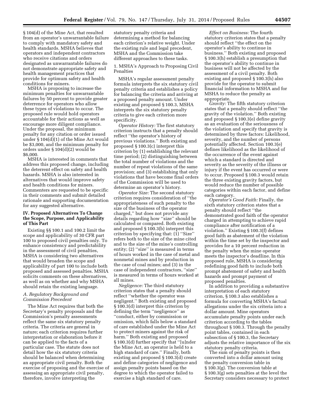§ 104(d) of the Mine Act, that resulted from an operator's unwarrantable failure to comply with mandatory safety and health standards. MSHA believes that operators and independent contractors who receive citations and orders designated as unwarrantable failures do not demonstrate appropriate safety and health management practices that provide for optimum safety and health conditions for miners.

MSHA is proposing to increase the minimum penalties for unwarrantable failures by 50 percent to provide greater deterrence for operators who allow these types of violations to occur. The proposed rule would hold operators accountable for their actions as well as encourage more diligent compliance. Under the proposal, the minimum penalty for any citation or order issued under § 104(d)(1) of the Mine Act would be \$3,000, and the minimum penalty for orders under § 104(d)(2) would be \$6,000.

MSHA is interested in comments that address this proposed change, including the deterrent effect on safety and health hazards. MSHA is also interested in alternatives that would improve safety and health conditions for miners. Commenters are requested to be specific in their comments and submit detailed rationale and supporting documentation for any suggested alternative.

#### **IV. Proposed Alternatives To Change the Scope, Purpose, and Applicability of This Part**

Existing §§ 100.1 and 100.2 limit the scope and applicability of 30 CFR part 100 to proposed civil penalties only. To enhance consistency and predictability in the assessment of civil penalties, MSHA is considering two alternatives that would broaden the scope and applicability of part 100 to include both proposed and assessed penalties. MSHA solicits comments on these alternatives, as well as on whether and why MSHA should retain the existing language.

#### *A. Regulatory Background and Commission Precedent*

The Mine Act requires that both the Secretary's penalty proposals and the Commission's penalty assessments reflect the same six statutory penalty criteria. The criteria are general in nature; each criterion requires further interpretation or elaboration before it can be applied to the facts of a particular case. The statute does not detail how the six statutory criteria should be balanced when determining an appropriate civil penalty. Both the exercise of proposing and the exercise of assessing an appropriate civil penalty, therefore, involve interpreting the

statutory penalty criteria and determining a method for balancing each criterion's relative weight. Under the existing rule and legal precedent, MSHA and the Commission take different approaches to these tasks.

1. MSHA's Approach to Proposing Civil Penalties

MSHA's regular assessment penalty formula interprets the six statutory civil penalty criteria and establishes a policy for balancing the criteria and arriving at a proposed penalty amount. Under existing and proposed § 100.3, MSHA interprets the six statutory penalty criteria to give each criterion more specificity.

*Operator History:* The first statutory criterion instructs that a penalty should reflect ''the operator's history of previous violations.'' Both existing and proposed § 100.3(c) interpret this criterion by (1) establishing the relevant time period; (2) distinguishing between the total number of violations and the number of repeat violations of the same provision; and (3) establishing that only violations that have become final orders of the Commission will be used to determine an operator's history.

*Operator Size:* The second statutory criterion requires consideration of ''the appropriateness of such penalty to the size of the business of the operator charged,'' but does not provide any details regarding how ''size'' should be calculated or compared. Both existing and proposed § 100.3(b) interpret this criterion by specifying that: (1) ''Size'' refers both to the size of the mine cited and to the size of the mine's controlling entity; (2) "size" is measured in terms of hours worked in the case of metal and nonmetal mines and by production in the case of coal mines; and (3) in the case of independent contractors, ''size'' is measured in terms of hours worked at all mines.

*Negligence:* The third statutory criterion states that a penalty should reflect ''whether the operator was negligent.'' Both existing and proposed § 100.3(d) interpret this criterion by defining the term ''negligence'' as ''conduct, either by commission or omission, which falls below a standard of care established under the Mine Act to protect miners against the risk of harm.'' Both existing and proposed § 100.3(d) further specify that ''[u]nder the Mine Act, an operator is held to a high standard of care.'' Finally, both existing and proposed § 100.3(d) create and define categories of negligence and assign penalty points based on the degree to which the operator failed to exercise a high standard of care.

*Effect on Business:* The fourth statutory criterion states that a penalty should reflect ''the effect on the operator's ability to continue in business.'' Both existing and proposed § 100.3(h) establish a presumption that the operator's ability to continue in business will not be affected by the assessment of a civil penalty. Both existing and proposed § 100.3(h) also provide for the operator to submit financial information to MSHA and for MSHA to reduce the penalty as appropriate.

*Gravity:* The fifth statutory criterion states that a penalty should reflect ''the gravity of the violation.'' Both existing and proposed § 100.3(e) define gravity as an evaluation of the seriousness of the violation and specify that gravity is determined by three factors: Likelihood, severity, and the number of persons potentially affected. Section 100.3(e) defines likelihood as the likelihood of the occurrence of the event against which a standard is directed and severity as the severity of the illness or injury if the event has occurred or were to occur. Proposed § 100.3 would retain the three existing gravity factors, but would reduce the number of possible categories within each factor, and define each category.

*Operator's Good Faith:* Finally, the sixth statutory criterion states that a penalty should reflect ''the demonstrated good faith of the operator charged in attempting to achieve rapid compliance after notification of a violation.'' Existing § 100.3(f) defines good faith as abatement of the violation within the time set by the inspector and provides for a 10 percent reduction in the penalty when the mine operator meets the inspector's deadline. In this proposed rule, MSHA is considering redefining good faith to include both prompt abatement of safety and health hazards and prompt payment of proposed penalties.

In addition to providing a substantive interpretation of each statutory criterion, § 100.3 also establishes a formula for converting MSHA's factual allegations under the six criteria into a dollar amount. Mine operators accumulate penalty points under each criterion according to the tables throughout § 100.3. Through the penalty point tables, contained in each subsection of § 100.3, the Secretary adjusts the relative importance of the six statutory penalty criteria.

The sum of penalty points is then converted into a dollar amount using the penalty conversion table in § 100.3(g). The conversion table at § 100.3(g) sets penalties at the level the Secretary considers necessary to protect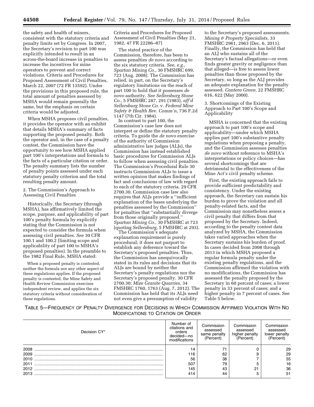the safety and health of miners, consistent with the statutory criteria and penalty limits set by Congress. In 2007, the Secretary's revision to part 100 was explicitly intended to result in an across-the-board increase in penalties to increase the incentives for mine operators to prevent and correct violations. Criteria and Procedures for Proposed Assessment of Civil Penalties, March 22, 2007 (72 FR 13592). Under the provisions in this proposed rule, the total amount of penalties assessed by MSHA would remain generally the same, but the emphasis on certain criteria would be adjusted.

When MSHA proposes civil penalties, it provides the operator with an exhibit that details MSHA's summary of facts supporting the proposed penalty. Both the operator and, in the case of a penalty contest, the Commission have the opportunity to see how MSHA applied part 100's interpretations and formula to the facts of a particular citation or order. The penalty summary lists the number of penalty points assessed under each statutory penalty criterion and the total resulting penalty amount.

#### 2. The Commission's Approach to Assessing Civil Penalties

Historically, the Secretary (through MSHA), has affirmatively limited the scope, purpose, and applicability of part 100's penalty formula by explicitly stating that the Commission is not expected to consider the formula when assessing civil penalties. *See* 30 CFR 100.1 and 100.2 (limiting scope and applicability of part 100 to MSHA's proposed penalties). In the preamble to the 1982 Final Rule, MSHA stated:

When a proposed penalty is contested, neither the formula nor any other aspect of these regulations applies. If the proposed penalty is contested, the Mine Safety and Health Review Commission exercises independent review, and applies the six statutory criteria without consideration of these regulations.

Criteria and Procedures for Proposed Assessment of Civil Penalties (May 21, 1982, 47 FR 22286–87)

The stated practice of the Commission, therefore, has been to assess penalties *de novo* according to the six statutory criteria. *See, e.g., Spartan Mining Co.,* 30 FMSHRC 699, 723 (Aug. 2008). The Commission has relied, in part, on the Secretary's regulatory limitations on the reach of part 100 to hold that it possesses *de novo* authority. *See Sellersburg Stone Co.,* 5 FMSHRC 287, 291 (1983), *aff'd Sellersburg Stone Co.* v. *Federal Mine Safety & Health Rev. Comm'n,* 736 F.2d 1147 (7th Cir. 1984).

In contrast to part 100, the Commission's case law does not interpret or define the statutory penalty criteria. To guide the *de novo* exercise of the authority of Commission administrative law judges (ALJs), the Commission has instead established basic procedures for Commission ALJs to follow when assessing civil penalties. The Commission's Procedural Rule 30 instructs Commission ALJs to issue a written opinion that makes findings of fact and conclusions of law with regard to each of the statutory criteria. 29 CFR 2700.30. Commission case law also requires that ALJs provide a ''sufficient explanation of the bases underlying the penalties assessed by the Commission'' for penalties that ''substantially diverge from those originally proposed.'' *Spartan Mining Co.,* 30 FMSHRC at 723 (quoting *Sellersburg,* 5 FMSHRC at 293).

The Commission's adequate explanation requirement is purely procedural; it does not purport to establish any deference toward the Secretary's proposed penalties. Thus, the Commission has unequivocally stated in its rules and decisions that its ALJs are bound by neither the Secretary's penalty regulations nor the Secretary's proposed penalty. 30 CFR 2700.30; *Mize Granite Quarries,* 34 FMSHRC 1760, 1763 (Aug. 7, 2012). The Commission has held that its ALJs need not even give a presumption of validity

to the Secretary's proposed assessments. *Mining & Property Specialists,* 33 FMSHRC 2961, 2963 (Dec. 6, 2011). Finally, the Commission has held that an ALJ who sustains all of the Secretary's factual allegations—or even finds greater gravity or negligence than that alleged—is free to assess lower penalties than those proposed by the Secretary, so long as the ALJ provides an adequate explanation for the penalty assessed. *Cantera Green,* 22 FMSHRC 616, 622 (May 2000).

3. Shortcomings of the Existing Approach to Part 100's Scope and Applicability

MSHA is concerned that the existing approach to part 100's scope and applicability—under which MSHA applies part 100's substantive penalty regulations when proposing a penalty, and the Commission assesses penalties *de novo* without reference to MSHA's interpretations or policy choices—has several shortcomings that are detrimental to the effectiveness of the Mine Act's civil penalty scheme.

First, the existing approach fails to provide sufficient predictability and consistency. Under the existing approach, the Secretary can sustain his burden to prove the violation and all penalty-related facts, and the Commission may nonetheless assess a civil penalty that differs from that proposed by the Secretary. Indeed, according to the penalty contest data analyzed by MSHA, the Commission takes varied approaches when the Secretary sustains his burden of proof. In cases decided from 2008 through 2013 in which MSHA proposed a regular formula penalty under the existing penalty regulations, and the Commission affirmed the violation with no modifications, the Commission has assessed the penalty proposed by the Secretary in 60 percent of cases; a lower penalty in 33 percent of cases; and a higher penalty in 7 percent of cases. See Table 5 below.

TABLE 5—FREQUENCY OF PENALTY DIVERGENCE FOR DECISIONS IN WHICH COMMISSION AFFIRMED VIOLATION WITH NO MODIFICATIONS TO CITATION OR ORDER

| Decision CY* | Number of<br>citations and<br>orders<br>decided-no<br>modifications | Commission<br>assessed<br>same penalty<br>(Percent) | Commission<br>assessed<br>higher penalty<br>(Percent) | Commission<br>assessed<br>lower penalty |
|--------------|---------------------------------------------------------------------|-----------------------------------------------------|-------------------------------------------------------|-----------------------------------------|
| 2008         |                                                                     |                                                     |                                                       | 29                                      |
| 2009         | 116                                                                 | 62                                                  |                                                       | 29                                      |
| 2010         | 56                                                                  | 38                                                  |                                                       | 55                                      |
| 2011         | 507                                                                 | 79                                                  |                                                       | 16                                      |
| 2012         | 145                                                                 | 43                                                  | ີ                                                     | 36                                      |
| 2013         | 414                                                                 | 44                                                  |                                                       | 51                                      |
|              |                                                                     |                                                     |                                                       |                                         |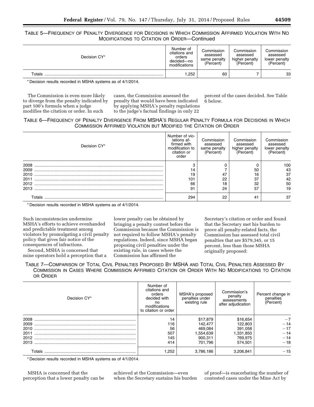# TABLE 5—FREQUENCY OF PENALTY DIVERGENCE FOR DECISIONS IN WHICH COMMISSION AFFIRMED VIOLATION WITH NO MODIFICATIONS TO CITATION OR ORDER—Continued

| Decision CY* | Number of<br>citations and<br>orders<br>decided-no<br>modifications | Commission<br>assessed<br>same penalty<br>(Percent) | Commission<br>assessed<br>higher penalty<br>(Percent) | Commission<br>assessed<br>lower penalty<br>(Percent) |
|--------------|---------------------------------------------------------------------|-----------------------------------------------------|-------------------------------------------------------|------------------------------------------------------|
| $\tau$ otals | ,252                                                                | 60                                                  |                                                       | 33                                                   |

\* Decision results recorded in MSHA systems as of 4/1/2014.

The Commission is even more likely to diverge from the penalty indicated by part 100's formula when a judge modifies the citation or order. In such

cases, the Commission assessed the penalty that would have been indicated by applying MSHA's penalty regulations to the judge's factual findings in only 22

percent of the cases decided. See Table 6 below.

# TABLE 6—FREQUENCY OF PENALTY DIVERGENCE FROM MSHA'S REGULAR PENALTY FORMULA FOR DECISIONS IN WHICH COMMISSION AFFIRMED VIOLATION BUT MODIFIED THE CITATION OR ORDER

| Decision CY* | Number of vio-<br>lations af-<br>firmed with<br>modification to<br>citation or<br>order | Commission<br>assessed<br>same penalty<br>(Percent) | Commission<br>assessed<br>higher penalty<br>(Percent) | Commission<br>assessed<br>lower penalty<br>(Percent) |
|--------------|-----------------------------------------------------------------------------------------|-----------------------------------------------------|-------------------------------------------------------|------------------------------------------------------|
| 2008         |                                                                                         |                                                     |                                                       | 100                                                  |
| 2009         |                                                                                         |                                                     | 50                                                    | 43                                                   |
| 2010         | 19                                                                                      | 47                                                  | 16                                                    | 37                                                   |
| 2011         | 101                                                                                     | 22                                                  | 37                                                    | 42                                                   |
| 2012         | 66                                                                                      | 18                                                  | 32                                                    | 50                                                   |
| 2013         | 91                                                                                      | 24                                                  | 57                                                    | 19                                                   |
| Totals       | 294                                                                                     | 22                                                  | 41                                                    | 37                                                   |

\* Decision results recorded in MSHA systems as of 4/1/2014.

Such inconsistencies undermine MSHA's efforts to achieve evenhanded and predictable treatment among violators by promulgating a civil penalty policy that gives fair notice of the consequences of infractions.

Second, MSHA is concerned that mine operators hold a perception that a lower penalty can be obtained by bringing a penalty contest before the Commission because the Commission is not required to follow MSHA's penalty regulations. Indeed, since MSHA began proposing civil penalties under the existing rule, in cases where the Commission has affirmed the

Secretary's citation or order and found that the Secretary met his burden to prove all penalty-related facts, the Commission has assessed total civil penalties that are \$579,345, or 15 percent, less than those MSHA originally proposed:

TABLE 7—COMPARISON OF TOTAL CIVIL PENALTIES PROPOSED BY MSHA AND TOTAL CIVIL PENALTIES ASSESSED BY COMMISSION IN CASES WHERE COMMISSION AFFIRMED CITATION OR ORDER WITH NO MODIFICATIONS TO CITATION OR ORDER

| Decision CY* | Number of<br>citations and<br>orders<br>decided with<br>no<br>modifications<br>to citation or order | MSHA's proposed<br>penalties under<br>existing rule | Commission's<br>penalty<br>assessments<br>after adjudication | Percent change in<br>penalties<br>(Percent) |
|--------------|-----------------------------------------------------------------------------------------------------|-----------------------------------------------------|--------------------------------------------------------------|---------------------------------------------|
| 2008         | 14                                                                                                  | \$17,879                                            | \$16,654                                                     | $-7$                                        |
| 2009         | 116                                                                                                 | 142.477                                             | 122,803                                                      | $-14$                                       |
| 2010         | 56                                                                                                  | 469.084                                             | 391,058                                                      | $-17$                                       |
| 2011         | 507                                                                                                 | 1,554,639                                           | 1,331,850                                                    | $-14$                                       |
| 2012         | 145                                                                                                 | 900.311                                             | 769.975                                                      | $-14$                                       |
| 2013         | 414                                                                                                 | 701.796                                             | 574.501                                                      | $-18$                                       |
| Totals       | 1.252                                                                                               | 3,786,186                                           | 3.206.841                                                    | $-15$                                       |

\* Decision results recorded in MSHA systems as of 4/1/2014.

MSHA is concerned that the perception that a lower penalty can be achieved at the Commission—even when the Secretary sustains his burden of proof—is exacerbating the number of contested cases under the Mine Act by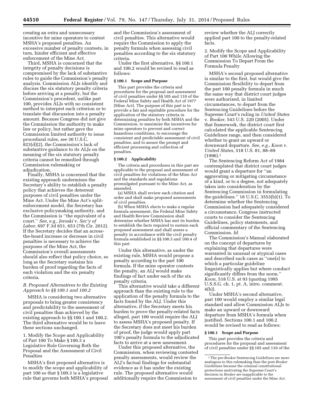creating an extra and unnecessary incentive for mine operators to contest MSHA's proposed penalties. An excessive number of penalty contests, in turn, hinder efficient and effective enforcement of the Mine Act.

Third, MSHA is concerned that the integrity of penalty decisions is compromised by the lack of substantive rules to guide the Commission's penalty analysis. Commission ALJs identify and discuss the six statutory penalty criteria before arriving at a penalty, but the Commission's precedent, unlike part 100, provides ALJs with no consistent method to interpret each criterion or to translate that discussion into a penalty amount. Because Congress did not give the Commission the authority to make law or policy, but rather gave the Commission limited authority to issue procedural rules, *see* 30 U.S.C. 823(d)(2), the Commission's lack of substantive guidance to its ALJs on the meaning of the six statutory penalty criteria cannot be remedied through Commission rulemaking or adiudication.

Finally, MSHA is concerned that the existing approach undermines the Secretary's ability to establish a penalty policy that achieves the deterrent purposes of civil penalties under the Mine Act. Under the Mine Act's splitenforcement model, the Secretary has exclusive policymaking authority, and the Commission is ''the equivalent of a court.'' *See, e.g., Jeroski* v. *Sec'y of Labor,* 697 F.3d 651, 653 (7th Cir. 2012). If the Secretary decides that an acrossthe-board increase or decrease in civil penalties is necessary to achieve the purposes of the Mine Act, the Commission's overall assessments should also reflect that policy choice, so long as the Secretary sustains his burden of proof regarding the facts of each violation and the six penalty criteria.

## *B. Proposed Alternatives to the Existing Approach to §§ 100.1 and 100.2*

MSHA is considering two alternative proposals to bring greater consistency and predictability to the assessment of civil penalties than achieved by the existing approach to §§ 100.1 and 100.2. The third alternative would be to leave these sections unchanged.

1. Modify the Scope and Applicability of Part 100 To Make § 100.3 a Legislative Rule Governing Both the Proposal and the Assessment of Civil Penalties

MSHA's first proposed alternative is to modify the scope and applicability of part 100 so that § 100.3 is a legislative rule that governs both MSHA's proposal

and the Commission's assessment of civil penalties. This alternative would require the Commission to apply the penalty formula when assessing civil penalties according to the six statutory criteria.

Under the first alternative, §§ 100.1 and 100.2 would be revised to read as follows:

#### **§ 100.1 Scope and Purpose**

This part provides the criteria and procedures for the proposal and assessment of civil penalties under §§ 105 and 110 of the Federal Mine Safety and Health Act of 1977 (Mine Act). The purpose of this part is to provide a fair and equitable procedure for the application of the statutory criteria in determining penalties by both MSHA and the Commission, to maximize the incentives for mine operators to prevent and correct hazardous conditions, to encourage the consistent and predictable assessment of civil penalties, and to assure the prompt and efficient processing and collection of penalties.

#### **§ 100.2 Applicability**

The criteria and procedures in this part are applicable to the proposal and assessment of civil penalties for violations of the Mine Act and the standards and regulations promulgated pursuant to the Mine Act, as amended.

(a) MSHA shall review each citation and order and shall make proposed assessments of civil penalties.

(b) When MSHA elects to make a regular formula assessment, the Federal Mine Safety and Health Review Commission shall determine whether MSHA has met its burden to establish the facts required to sustain each proposed assessment and shall assess a penalty in accordance with the civil penalty formula established in §§ 100.3 and 100.4 of this part.

Under this alternative, as under the existing rule, MSHA would propose a penalty according to the part 100 formula. If the mine operator contests the penalty, an ALJ would make findings of fact under each of the six penalty criteria.

This alternative would take a different approach than the existing rule to the application of the penalty formula to the facts found by the ALJ. Under this alternative, if the Secretary meets his burden to prove the penalty-related facts alleged, part 100 would require the ALJ to assess MSHA's proposed penalty. If the Secretary does not meet his burden of proof, the judge would apply part 100's penalty formula to the adjudicated facts to arrive at a new assessment.

Under this proposed alternative, the Commission, when reviewing contested penalty assessments, would review the ALJ's factual findings for substantial evidence as it has under the existing rule. The proposed alternative would additionally require the Commission to

review whether the ALJ correctly applied part 100 to the penalty-related facts.

2. Modify the Scope and Applicability of Part 100 While Allowing the Commission To Depart From the Formula Penalty

MSHA's second proposed alternative is similar to the first, but would give the Commission flexibility to depart from the part 100 penalty formula in much the same way that district court judges were authorized, in limited circumstances, to depart from the Sentencing Guidelines before the Supreme Court's ruling in *United States*  v. *Booker,* 543 U.S. 220 (2005). Under that framework, the district court first calculated the applicable Sentencing Guidelines range, and then considered whether to grant an upward or downward departure. *See, e.g., Koon* v. *United States,* 518 U.S. 81, 88–89  $(1996).1$ 

The Sentencing Reform Act of 1984 contemplated that district court judges would grant a departure for ''an aggravating or mitigating circumstance of a kind, or to a degree, not adequately taken into consideration by the Sentencing Commission in formulating the guidelines.'' 18 U.S.C. 3553(b)(1). To determine whether the Sentencing Commission had adequately considered a circumstance, Congress instructed courts to consider the Sentencing Guidelines, policy statements, and official commentary of the Sentencing Commission. *Id.* 

The Commission's Manual elaborated on the concept of departures by explaining that departures were warranted in unusual or atypical cases and described such cases as ''one[s] to which a particular guideline linguistically applies but where conduct significantly differs from the norm.'' *Koon,* 518 U.S. at 93 (quoting 1995 U.S.S.G. ch. 1, pt. A, intro. comment. 4(b)).

Under MSHA's second alternative, part 100 would employ a similar legal standard and allow Commission ALJs to make an upward or downward departure from MSHA's formula when justified. Sections 100.1 and 100.2 would be revised to read as follows:

#### **§ 100.1 Scope and Purpose**

This part provides the criteria and procedures for the proposal and assessment of civil penalties under §§ 105 and 110 of the

<sup>&</sup>lt;sup>1</sup>The pre-*Booker* Sentencing Guidelines are more analogous to this rulemaking than the post-*Booker*  Guidelines because the criminal constitutional protections motivating the Supreme Court's decision in *Booker* are inapplicable to the assessment of civil penalties under the Mine Act.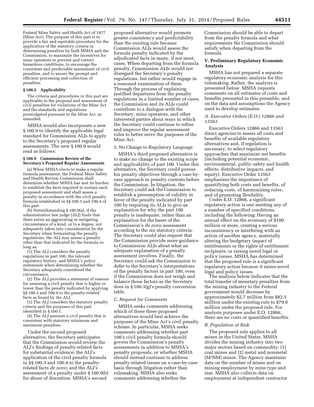Federal Mine Safety and Health Act of 1977 (Mine Act). The purpose of this part is to provide a fair and equitable procedure for the application of the statutory criteria in determining penalties by both MSHA and the Commission, to maximize the incentives for mine operators to prevent and correct hazardous conditions, to encourage the consistent and predictable assessment of civil penalties, and to assure the prompt and efficient processing and collection of penalties.

#### **§ 100.2 Applicability**

The criteria and procedures in this part are applicable to the proposal and assessment of civil penalties for violations of the Mine Act and the standards and regulations promulgated pursuant to the Mine Act, as amended.

MSHA would also incorporate a new § 100.9 to identify the applicable legal standard for Commission ALJs to apply to the Secretary's proposed regular assessments. The new § 100.9 would read as follows:

#### **§ 100.9 Commission Review of the Secretary's Proposed Regular Assessments**

(a) When MSHA elects to make a regular formula assessment, the Federal Mine Safety and Health Review Commission shall determine whether MSHA has met its burden to establish the facts required to sustain each proposed assessment and shall assess a penalty in accordance with the civil penalty formula established in §§ 100.3 and 100.4 of this part.

(b) Notwithstanding § 100.9(a), if the administrative law judge (ALJ) finds that there exists an aggravating or mitigating circumstance of a kind, or to a degree, not adequately taken into consideration by the Secretary when formulating the penalty regulations, the ALJ may assess a penalty other than that indicated by the formula so long as:

(1) The ALJ considers the penalty regulations in part 100, the relevant regulatory history, and MSHA's policy statements when determining whether the Secretary adequately considered the circumstance.

(2) The ALJ provides a statement of reasons for assessing a civil penalty that is higher or lower than the penalty indicated by applying §§ 100.3 and 100.4 to the penalty-related facts as found by the ALJ.

(3) The ALJ considers the statutory penalty criteria and the purposes of this part identified in § 100.1.

(4) The ALJ assesses a civil penalty that is consistent with statutory minimum and maximum penalties.

Under the second proposed alternative, the Secretary anticipates that the Commission would review the ALJ's findings of penalty-related facts for substantial evidence; the ALJ's application of the civil penalty formula in §§ 100.3 and 100.4 to the penaltyrelated facts *de novo;* and the ALJ's assessment of a penalty under § 100.9(b) for abuse of discretion. MSHA's second

proposed alternative would promote greater consistency and predictability than the existing rule because Commission ALJs would assess the formula penalty indicated by the adjudicated facts in many, if not most, cases. When departing from the formula penalty, Commission ALJs would not disregard the Secretary's penalty regulations, but rather would engage in a reasoned examination of them. Through the process of explaining justified departures from the penalty regulations in a limited number of cases, the Commission and its ALJs could contribute to a dialogue with the Secretary, mine operators, and other interested parties about ways in which the Secretary could continue to refine and improve the regular assessment rules to better serve the purposes of the Mine Act.

#### 3. No Change to Regulatory Language

MSHA's third proposed alternative is to make no change to the existing scope and applicability of part 100. Under this alternative, the Secretary could pursue his penalty objectives through a case-bycase approach in penalty contests before the Commission. In litigation, the Secretary could ask the Commission to establish a presumption of validity in favor of the penalty indicated by part 100 by requiring its ALJs to give an explanation for why the part 100 penalty is inadequate, rather than an explanation for the bases of the Commission's *de novo* assessment according to the six statutory criteria. The Secretary could also request that the Commission provide more guidance to Commission ALJs about what an adequate explanation of a penalty assessment involves. Finally, the Secretary could ask the Commission to defer to the Secretary's interpretations of the penalty factors in part 100, even if the Commission does not weigh and balance those factors as the Secretary does in § 100.3(g)'s penalty conversion table.

#### *C. Request for Comments*

MSHA seeks comments addressing which of these three proposed alternatives would best achieve the purposes of the Mine Act's civil penalty scheme. In particular, MSHA seeks comments addressing whether part 100's civil penalty formula should govern the Commission's penalty assessments in addition to MSHA's penalty proposals, or whether MSHA should instead continue to address penalty-related issues on a case-by-case basis through litigation rather than rulemaking. MSHA also seeks comments addressing whether the

Commission should be able to depart from the penalty formula and what requirements the Commission should satisfy when departing from the formula.

#### **V. Preliminary Regulatory Economic Analysis**

MSHA has not prepared a separate regulatory economic analysis for this rulemaking. Rather, the analysis is presented below. MSHA requests comments on all estimates of costs and benefits presented in this preamble, and on the data and assumptions the Agency used to develop estimates.

#### *A. Executive Orders (E.O.) 12866 and 13563*

Executive Orders 12866 and 13563 direct agencies to assess all costs and benefits of available regulatory alternatives and, if regulation is necessary, to select regulatory approaches that maximize net benefits (including potential economic, environmental, public safety and health effects, distributive impacts, and equity). Executive Order 13563 emphasizes the importance of quantifying both costs and benefits, of reducing costs, of harmonizing rules, and of promoting flexibility.

Under E.O. 12866, a significant regulatory action is one meeting any of a number of specified conditions, including the following: Having an annual effect on the economy of \$100 million or more, creating a serious inconsistency or interfering with an action of another agency, materially altering the budgetary impact of entitlements or the rights of entitlement recipients, or raising novel legal or policy issues. MSHA has determined that the proposed rule is a significant regulatory action because it raises novel legal and policy issues.

The analysis below indicates that the total transfer of monetary penalties from the mining industry to the Federal government would decrease by approximately \$2.7 million from \$82.5 million under the existing rule to \$79.8 million under the proposed rule. For analysis purposes under E.O. 12866, there are no costs or quantified benefits.

#### *B. Population at Risk*

The proposed rule applies to all mines in the United States. MSHA divides the mining industry into two major sectors based on commodity: (1) coal mines and (2) metal and nonmetal (M/NM) mines. The Agency maintains data on the number of mines and on mining employment by mine type and size. MSHA also collects data on employment at independent contractor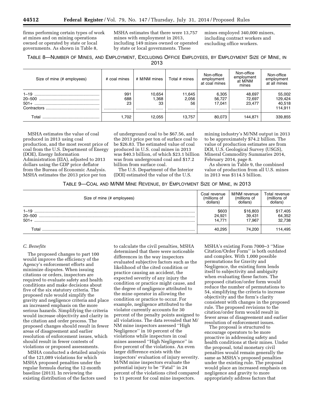firms performing certain types of work at mines and on mining operations owned or operated by state or local governments. As shown in Table 8,

MSHA estimates that there were 13,757 mines with employment in 2013, including 149 mines owned or operated by state or local governments. These

mines employed 340,000 miners, including contract workers and excluding office workers.

TABLE 8—NUMBER OF MINES, AND EMPLOYMENT, EXCLUDING OFFICE EMPLOYEES, BY EMPLOYMENT SIZE OF MINE, IN 2013

| Size of mine (# employees) | # coal mines         | # M/NM mines             | Total # mines             | Non-office<br>employment<br>at coal mines | Non-office<br>employment<br>at M/NM<br>mines | Non-office<br>employment<br>at all mines |
|----------------------------|----------------------|--------------------------|---------------------------|-------------------------------------------|----------------------------------------------|------------------------------------------|
| $20 - 500$                 | 991<br>688<br>23<br> | 10.654<br>.368<br>33<br> | 11.645<br>2.056<br>56<br> | 6,305<br>56.727<br>17.041<br>             | 48.697<br>72.697<br>23.477<br>               | 55,002<br>129,424<br>40,518<br>114,911   |
| ™otal                      | .702                 | 12.055                   | 13.757                    | 80.073                                    | 144.871                                      | 339,855                                  |

MSHA estimates the value of coal produced in 2013 using coal production, and the most recent price of coal from the U.S. Department of Energy (DOE), Energy Information Administration (EIA), adjusted to 2013 dollars using the GDP price deflator from the Bureau of Economic Analysis. MSHA estimates the 2013 price per ton

of underground coal to be \$67.56, and the 2013 price per ton of surface coal to be \$26.83. The estimated value of coal produced in U.S. coal mines in 2013 was \$40.3 billion, of which \$23.1 billion was from underground coal and \$17.2 billion from surface coal.

The U.S. Department of the Interior (DOI) estimated the value of the U.S.

mining industry's M/NM output in 2013 to be approximately \$74.2 billion. The value of production estimates are from DOI, U.S. Geological Survey (USGS), Mineral Commodity Summaries 2014, February 2014, page 8.

As shown in Table 9, the combined value of production from all U.S. mines in 2013 was \$114.5 billion.

| TABLE 9-COAL AND M/NM MINE REVENUE, BY EMPLOYMENT SIZE OF MINE, IN 2013 |  |
|-------------------------------------------------------------------------|--|
|-------------------------------------------------------------------------|--|

| Size of mine (# employees)       | Coal revenue<br>(millions of<br>dollars) | M/NM revenue<br>(millions of<br>dollars) | Total revenue<br>(millions of<br>dollars) |
|----------------------------------|------------------------------------------|------------------------------------------|-------------------------------------------|
| $1 - 19$<br>$20 - 500$<br>$501+$ | \$603<br>24.921<br>14.771                | \$16,803<br>39.431<br>17.967             | \$17,405<br>64,352<br>32,738              |
| $\tau$ otal                      | 40.295                                   | 74.200                                   | 114,495                                   |

#### *C. Benefits*

The proposed changes to part 100 would improve the efficiency of the Agency's enforcement efforts and minimize disputes. When issuing citations or orders, inspectors are required to evaluate safety and health conditions and make decisions about five of the six statutory criteria. The proposed rule would simplify the gravity and negligence criteria and place an increased emphasis on the more serious hazards. Simplifying the criteria would increase objectivity and clarity in the citation and order process. The proposed changes should result in fewer areas of disagreement and earlier resolution of enforcement issues, which should result in fewer contests of violations or proposed assessments.

MSHA conducted a detailed analysis of the 121,089 violations for which MSHA proposed penalties under the regular formula during the 12-month baseline (2013). In reviewing the existing distribution of the factors used

to calculate the civil penalties, MSHA determined that there were noticeable differences in the way inspectors evaluated subjective factors such as the likelihood of the cited condition or practice causing an accident, the expected severity of any injury the condition or practice might cause, and the degree of negligence attributed to the mine operator in allowing the condition or practice to occur. For example, negligence attributed to the violator currently accounts for 30 percent of the penalty points assigned to all violations. The data revealed that M/ NM mine inspectors assessed ''High Negligence'' in 10 percent of the violations while inspectors in coal mines assessed ''High Negligence'' in five percent of the violations. An even larger difference exists with the inspectors' evaluation of injury severity. M/NM mine inspectors evaluate the potential injury to be ''Fatal'' in 24 percent of the violations cited compared to 11 percent for coal mine inspectors.

MSHA's existing Form 7000–3 ''Mine Citation/Order Form'' is both outdated and complex. With 1,000 possible permutations for Gravity and Negligence, the existing form lends itself to subjectivity and ambiguity when evaluating these factors. The proposed citation/order form would reduce the number of permutations to 54, simplifying the criteria to increase objectivity and the form's clarity consistent with changes in the proposed rule. The proposed revisions to the citation/order form would result in fewer areas of disagreement and earlier resolution of enforcement issues.

The proposal is structured to encourage operators to be more proactive in addressing safety and health conditions at their mines. Under the proposal, total monetary civil penalties would remain generally the same as MSHA's proposed penalties under the existing rule. The proposal would place an increased emphasis on negligence and gravity to more appropriately address factors that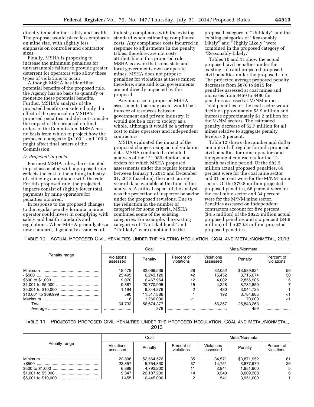directly impact miner safety and health. The proposal would place less emphasis on mine size, with slightly less emphasis on controller and contractor sizes.

Finally, MSHA is proposing to increase the minimum penalties for unwarrantable failure to provide greater deterrent for operators who allow these types of violations to occur.

Although MSHA has identified potential benefits of the proposed rule, the Agency has no basis to quantify or monetize these potential benefits. Further, MSHA's analysis of the projected benefits considered only the effect of the proposal on MSHA's proposed penalties and did not consider the impact of the proposal on final orders of the Commission. MSHA has no basis from which to project how the proposed changes to §§ 100.1 and 100.2 might affect final orders of the Commission.

#### *D. Projected Impacts*

For most MSHA rules, the estimated impact associated with a proposed rule reflects the cost to the mining industry of achieving compliance with the rule. For this proposed rule, the projected impacts consist of slightly lower total payments by mine operators for penalties incurred.

In response to the proposed changes to the regular penalty formula, a mine operator could invest in complying with safety and health standards and regulations. When MSHA promulgates a new standard, it generally assumes full

industry compliance with the existing standard when estimating compliance costs. Any compliance costs incurred in response to adjustments in the penalty tables, therefore, are not costs attributable to this proposed rule. MSHA is aware that some state and local governments own or operate mines. MSHA does not propose penalties for violations at these mines; therefore, state and local governments are not directly impacted by this proposal.

Any increase in proposed MSHA assessments that may occur would be a transfer of resources between government and private industry. It would not be a cost to society as a whole, although it would be a private cost to mine operators and independent contractors.

MSHA evaluated the impact of the proposed changes using actual violation data. MSHA conducted a detailed analysis of the 121,089 citations and orders for which MSHA proposed assessments under the regular formula between January 1, 2013 and December 31, 2013 (baseline), the most current year of data available at the time of the analysis. A critical aspect of the analysis was the projection of inspector behavior under the proposed revisions. Due to the reduction in the number of categories for some criteria, MSHA combined some of the existing categories. For example, the existing categories of ''No Likelihood'' and ''Unlikely'' were combined in the

proposed category of ''Unlikely'' and the existing categories of ''Reasonably Likely" and "Highly Likely" were combined in the proposed category of ''Reasonably Likely.''

Tables 10 and 11 show the actual proposed civil penalties under the existing rule and projected proposed civil penalties under the proposed rule. The projected average proposed penalty decreases from \$876 to \$815 for penalties assessed at coal mines and increases from \$459 to \$480 for penalties assessed at M/NM mines. Total penalties for the coal sector would decline approximately \$3.9 million and increase approximately \$1.2 million for the M/NM sectors. The estimated penalty decrease of \$2.7 million for all mines relative to aggregate penalty levels is 3 percent.

Table 12 shows the number and dollar amounts of all regular formula proposed civil penalties for mine operators and independent contractors for the 12 month baseline period. Of the \$82.5 million actual proposed penalties, 69 percent were for the coal mine sector and 31 percent were for the M/NM mine sector. Of the \$79.8 million projected proposed penalties, 66 percent were for the coal mine sector and 34 percent were for the M/NM mine sector. Penalties assessed on independent contractors account for five percent (\$4.5 million) of the \$82.5 million actual proposed penalties and six percent (\$4.6 million) of the \$79.8 million projected proposed penalties.

TABLE 10—ACTUAL PROPOSED CIVIL PENALTIES UNDER THE EXISTING REGULATION, COAL AND METAL/NONMETAL, 2013

|               | Coal                   |             |                          | Metal/Nonmetal         |             |                          |
|---------------|------------------------|-------------|--------------------------|------------------------|-------------|--------------------------|
| Penalty range | Violations<br>assessed | Penalty     | Percent of<br>violations | Violations<br>assessed | Penalty     | Percent of<br>violations |
|               | 18,478                 | \$2,069,536 | 28                       | 32,052                 | \$3,589,824 | 56                       |
|               | 25,495                 | 6,243,120   | 42                       | 15,452                 | 3.715.074   | 30                       |
|               | 9,070                  | 6.467.964   | 12                       | 4,002                  | 2.855.905   | 6                        |
|               | 9.887                  | 20,770,995  | 15                       | 4.228                  | 8.782.850   |                          |
|               | 1,194                  | 8,344,876   |                          | 430                    | 3.044.725   |                          |
|               | 590                    | 11.517.886  |                          | 192                    | 3.784.885   |                          |
|               | 18                     | 1.260.000   |                          |                        | 70.000      | ا>                       |
|               | 64.732                 | 56.674.377  |                          | 56.357                 | 25,843,263  |                          |
|               |                        | 876         |                          |                        | 459         |                          |

TABLE 11—PROJECTED PROPOSED CIVIL PENALTIES UNDER THE PROPOSED REGULATION, COAL AND METAL/NONMETAL, 2013

| Penalty range | Coal                   |             |                          | Metal/Nonmetal         |             |                          |
|---------------|------------------------|-------------|--------------------------|------------------------|-------------|--------------------------|
|               | Violations<br>assessed | Penalty     | Percent of<br>violations | Violations<br>assessed | Penalty     | Percent of<br>violations |
|               | 22.898                 | \$2,564,576 | 35                       | 34.571                 | \$3,871,952 | 61                       |
|               | 23.857                 | 5.754.830   | 37                       | 14.751                 | 3.877.979   | 26                       |
|               | 6,898                  | 4.793.200   |                          | 2.944                  | 1.951.900   | 5                        |
|               | 9.347                  | 22.187.200  | 14                       | 3.340                  | 8.009.300   | 6                        |
|               | 1.455                  | 10.445.000  |                          | 541                    | 3.951.000   |                          |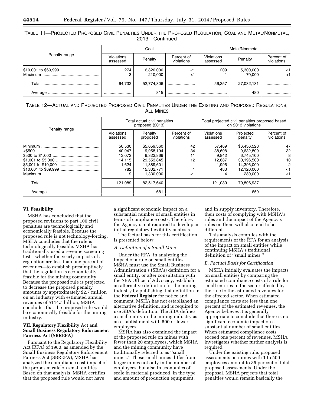# TABLE 11—PROJECTED PROPOSED CIVIL PENALTIES UNDER THE PROPOSED REGULATION, COAL AND METAL/NONMETAL, 2013—Continued

| Penalty range | Coal                          |                      |                          | Metal/Nonmetal                |                     |                          |
|---------------|-------------------------------|----------------------|--------------------------|-------------------------------|---------------------|--------------------------|
|               | <b>Violations</b><br>assessed | Penalty              | Percent of<br>violations | <b>Violations</b><br>assessed | Penalty             | Percent of<br>violations |
|               | 274                           | 6,820,000<br>210.000 | <`<br>$\leq$             | 209                           | 5,300,000<br>70.000 | <1<br><1                 |
| Total         | 64,732                        | 52,774,806           |                          | 56,357                        | 27,032,131          |                          |
|               |                               | 815                  |                          |                               | 480                 |                          |

| TABLE 12-ACTUAL AND PROJECTED PROPOSED CIVIL PENALTIES UNDER THE EXISTING AND PROPOSED REGULATIONS. |  |  |  |  |  |  |  |  |
|-----------------------------------------------------------------------------------------------------|--|--|--|--|--|--|--|--|
| <b>ALL MINES</b>                                                                                    |  |  |  |  |  |  |  |  |

| Penalty range | Total actual civil penalties<br>proposed (2013) |                                        |                          | Total projected civil penalties proposed based<br>on 2013 violations |                                        |                          |
|---------------|-------------------------------------------------|----------------------------------------|--------------------------|----------------------------------------------------------------------|----------------------------------------|--------------------------|
|               | Violations<br>assessed                          | Penalty<br>proposed                    | Percent of<br>violations | Violations<br>assessed                                               | Projected<br>penalty                   | Percent of<br>violations |
|               | 50,530<br>40.947<br>13.072                      | \$5,659,360<br>9.958.194<br>9,323,869  | 42<br>34<br>11           | 57,469<br>38.608<br>9,842                                            | \$6,436,528<br>9.632.809<br>6,745,100  | 47<br>32<br>8            |
|               | 14.115<br>1,624<br>782                          | 29,553,845<br>11,389,601<br>15.302.771 | 12                       | 12,687<br>1,996<br>483                                               | 30.196.500<br>14.396.000<br>12.120.000 | 10<br>2<br><1            |
|               | 19<br>121.089                                   | 1.330.000<br>82.517.640                | <1                       | 4<br>121.089                                                         | 280,000<br>79.806.937                  | <1                       |
| Average       |                                                 | 681                                    |                          |                                                                      | 659                                    |                          |

#### **VI. Feasibility**

MSHA has concluded that the proposed revisions to part 100 civil penalties are technologically and economically feasible. Because the proposed rule is not technology-forcing, MSHA concludes that the rule is technologically feasible. MSHA has traditionally used a revenue screening test—whether the yearly impacts of a regulation are less than one percent of revenues—to establish presumptively that the regulation is economically feasible for the mining community. Because the proposed rule is projected to decrease the proposed penalty amounts by approximately \$2.7 million on an industry with estimated annual revenues of \$114.5 billion, MSHA concludes that the proposed rule would be economically feasible for the mining industry.

#### **VII. Regulatory Flexibility Act and Small Business Regulatory Enforcement Fairness Act (SBREFA)**

Pursuant to the Regulatory Flexibility Act (RFA) of 1980, as amended by the Small Business Regulatory Enforcement Fairness Act (SBREFA), MSHA has analyzed the compliance cost impact of the proposed rule on small entities. Based on that analysis, MSHA certifies that the proposed rule would not have

a significant economic impact on a substantial number of small entities in terms of compliance costs. Therefore, the Agency is not required to develop an initial regulatory flexibility analysis.

The factual basis for this certification is presented below.

#### *A. Definition of a Small Mine*

Under the RFA, in analyzing the impact of a rule on small entities, MSHA must use the Small Business Administration's (SBA's) definition for a small entity, or after consultation with the SBA Office of Advocacy, establish an alternative definition for the mining industry by publishing that definition in the **Federal Register** for notice and comment. MSHA has not established an alternative definition, and is required to use SBA's definition. The SBA defines a small entity in the mining industry as an establishment with 500 or fewer employees.

MSHA has also examined the impact of the proposed rule on mines with fewer than 20 employees, which MSHA and the mining community have traditionally referred to as ''small mines.'' These small mines differ from larger mines not only in the number of employees, but also in economies of scale in material produced, in the type and amount of production equipment,

and in supply inventory. Therefore, their costs of complying with MSHA's rules and the impact of the Agency's rules on them will also tend to be different.

This analysis complies with the requirements of the RFA for an analysis of the impact on small entities while continuing MSHA's traditional definition of ''small mines.''

#### *B. Factual Basis for Certification*

MSHA initially evaluates the impacts on small entities by comparing the estimated compliance costs of a rule for small entities in the sector affected by the rule to the estimated revenues for the affected sector. When estimated compliance costs are less than one percent of the estimated revenues, the Agency believes it is generally appropriate to conclude that there is no significant economic impact on a substantial number of small entities. When estimated compliance costs exceed one percent of revenues, MSHA investigates whether further analysis is required.

Under the existing rule, proposed assessments on mines with 1 to 500 employees amount to 85 percent of total proposed assessments. Under the proposal, MSHA projects that total penalties would remain basically the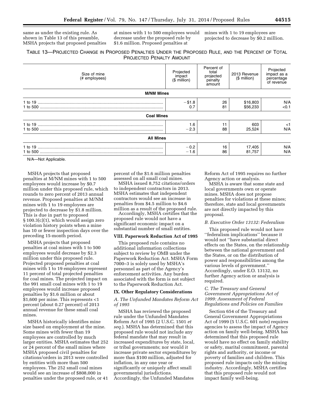same as under the existing rule. As shown in Table 13 of this preamble, MSHA projects that proposed penalties at mines with 1 to 500 employees would decrease under the proposed rule by \$1.6 million. Proposed penalties at

mines with 1 to 19 employees are projected to decrease by \$0.2 million.

# TABLE 13—PROJECTED CHANGE IN PROPOSED PENALTIES UNDER THE PROPOSED RULE, AND THE PERCENT OF TOTAL PROJECTED PENALTY AMOUNT

| Size of mine<br>(# employees) | Projected<br>impact<br>(\$ million) | Percent of<br>total<br>projected<br>penalty<br>amount | 2013 Revenue<br>(\$ million) | Projected<br>impact as a<br>percentage<br>of revenue |
|-------------------------------|-------------------------------------|-------------------------------------------------------|------------------------------|------------------------------------------------------|
| <b>M/NM Mines</b>             |                                     |                                                       |                              |                                                      |
|                               | $-$ \$1.8<br>0.7                    | 26<br>81                                              | \$16,803<br>\$56,233         | N/A<br>< 0.1                                         |
| <b>Coal Mines</b>             |                                     |                                                       |                              |                                                      |
|                               | 1.6<br>$-2.3$                       | 88                                                    | 603<br>25,524                | <1<br>N/A                                            |
| <b>All Mines</b>              |                                     |                                                       |                              |                                                      |
|                               | $-0.2$<br>$-1.6$                    | 16<br>86                                              | 17,405<br>81,757             | N/A<br>N/A                                           |

N/A—Not Applicable.

MSHA projects that proposed penalties at M/NM mines with 1 to 500 employees would increase by \$0.7 million under this proposed rule, which rounds to zero percent of 2013 annual revenue. Proposed penalties at M/NM mines with 1 to 19 employees are projected to decrease by \$1.8 million. This is due in part to proposed § 100.3(c)(1), which would assign zero violation history points when a mine has 10 or fewer inspection days over the preceding 15-month period.

MSHA projects that proposed penalties at coal mines with 1 to 500 employees would decrease by \$2.3 million under this proposed rule. Projected proposed penalties at coal mines with 1 to 19 employees represent 11 percent of total projected penalties for coal mines. The projected impact on the 991 small coal mines with 1 to 19 employees would increase proposed penalties by \$1.6 million or about \$1,600 per mine. This represents <1 percent (about 0.27 percent) of 2013 annual revenue for these small coal mines.

MSHA historically identifies mine size based on employment at the mine. Some mines with fewer than 19 employees are controlled by much larger entities. MSHA estimates that 252 or 24 percent of the small mines where MSHA proposed civil penalties for citations/orders in 2013 were controlled by entities with more than 500 employees. The 252 small coal mines would see an increase of \$808,000 in penalties under the proposed rule, or 41

percent of the \$1.6 million penalties assessed on all small coal mines.

MSHA issued 8,752 citations/orders to independent contractors in 2013. MSHA estimates that independent contractors would see an increase in penalties from \$4.5 million to \$4.6 million as a result of the proposed rule.

Accordingly, MSHA certifies that the proposed rule would not have a significant economic impact on a substantial number of small entities.

#### **VIII. Paperwork Reduction Act of 1995**

This proposed rule contains no additional information collections subject to review by OMB under the Paperwork Reduction Act. MSHA Form 7000–3 is solely used by MSHA's personnel as part of the Agency's enforcement activities. Any burden associated with the form is not subject to the Paperwork Reduction Act.

#### **IX. Other Regulatory Considerations**

#### *A. The Unfunded Mandates Reform Act of 1995*

MSHA has reviewed the proposed rule under the Unfunded Mandates Reform Act of 1995 (2 U.S.C. 1501 *et seq.*). MSHA has determined that this proposed rule would not include any federal mandate that may result in increased expenditures by state, local, or tribal governments; nor would it increase private sector expenditures by more than \$100 million, adjusted for inflation, in any one year or significantly or uniquely affect small governmental jurisdictions. Accordingly, the Unfunded Mandates

Reform Act of 1995 requires no further Agency action or analysis.

MSHA is aware that some state and local governments own or operate mines. MSHA does not propose penalties for violations at these mines; therefore, state and local governments are not directly impacted by this proposal.

#### *B. Executive Order 13132: Federalism*

This proposed rule would not have ''federalism implications'' because it would not ''have substantial direct effects on the States, on the relationship between the national government and the States, or on the distribution of power and responsibilities among the various levels of government.'' Accordingly, under E.O. 13132, no further Agency action or analysis is required.

#### *C. The Treasury and General Government Appropriations Act of 1999: Assessment of Federal Regulations and Policies on Families*

Section 654 of the Treasury and General Government Appropriations Act of 1999 (5 U.S.C. 601 note) requires agencies to assess the impact of Agency action on family well-being. MSHA has determined that this proposed rule would have no effect on family stability or safety, marital commitment, parental rights and authority, or income or poverty of families and children. This proposed rule impacts only the mining industry. Accordingly, MSHA certifies that this proposed rule would not impact family well-being.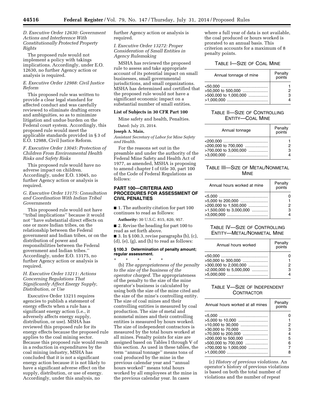## *D. Executive Order 12630: Government Actions and Interference With Constitutionally Protected Property Rights*

The proposed rule would not implement a policy with takings implications. Accordingly, under E.O. 12630, no further Agency action or analysis is required.

## *E. Executive Order 12988: Civil Justice Reform*

This proposed rule was written to provide a clear legal standard for affected conduct and was carefully reviewed to eliminate drafting errors and ambiguities, so as to minimize litigation and undue burden on the Federal court system. Accordingly, this proposed rule would meet the applicable standards provided in § 3 of E.O. 12988, Civil Justice Reform.

## *F. Executive Order 13045: Protection of Children From Environmental Health Risks and Safety Risks*

This proposed rule would have no adverse impact on children. Accordingly, under E.O. 13045, no further Agency action or analysis is required.

#### *G. Executive Order 13175: Consultation and Coordination With Indian Tribal Governments*

This proposed rule would not have ''tribal implications'' because it would not ''have substantial direct effects on one or more Indian tribes, on the relationship between the Federal government and Indian tribes, or on the distribution of power and responsibilities between the Federal government and Indian tribes.'' Accordingly, under E.O. 13175, no further Agency action or analysis is required.

#### *H. Executive Order 13211: Actions Concerning Regulations That Significantly Affect Energy Supply, Distribution, or Use*

Executive Order 13211 requires agencies to publish a statement of energy effects when a rule has a significant energy action (i.e., it adversely affects energy supply, distribution, or use). MSHA has reviewed this proposed rule for its energy effects because the proposed rule applies to the coal mining sector. Because this proposed rule would result in a reduction in expenditures by the coal mining industry, MSHA has concluded that it is not a significant energy action because it is not likely to have a significant adverse effect on the supply, distribution, or use of energy. Accordingly, under this analysis, no

further Agency action or analysis is required.

#### *I. Executive Order 13272: Proper Consideration of Small Entities in Agency Rulemaking*

MSHA has reviewed the proposed rule to assess and take appropriate account of its potential impact on small businesses, small governmental jurisdictions, and small organizations. MSHA has determined and certified that the proposed rule would not have a significant economic impact on a substantial number of small entities.

# **List of Subjects in 30 CFR Part 100**

Mine safety and health, Penalties.

# Dated: July 25, 2014.

# **Joseph A. Main,**

*Assistant Secretary of Labor for Mine Safety and Health.* 

For the reasons set out in the preamble and under the authority of the Federal Mine Safety and Health Act of 1977, as amended, MSHA is proposing to amend chapter I of title 30, part 100 of the Code of Federal Regulations as follows:

#### **PART 100—CRITERIA AND PROCEDURES FOR ASSESSMENT OF CIVIL PENALTIES**

■ 1. The authority citation for part 100 continues to read as follows:

**Authority:** 30 U.S.C. 815, 820, 957.

■ 2. Revise the heading for part 100 to read as set forth above.

 $\blacksquare$  3. In § 100.3, revise paragraphs (b), (c), (d), (e), (g), and (h) to read as follows:

#### **§ 100.3 Determination of penalty amount; regular assessment.**

\* \* \* \* \* (b) *The appropriateness of the penalty to the size of the business of the operator charged.* The appropriateness of the penalty to the size of the mine operator's business is calculated by using both the size of the mine cited and the size of the mine's controlling entity. The size of coal mines and their controlling entities is measured by coal production. The size of metal and nonmetal mines and their controlling entities is measured by hours worked. The size of independent contractors is measured by the total hours worked at all mines. Penalty points for size are assigned based on Tables I through V of this section. As used in these tables, the term ''annual tonnage'' means tons of coal produced by the mine in the previous calendar year and ''annual hours worked'' means total hours worked by all employees at the mine in the previous calendar year. In cases

where a full year of data is not available, the coal produced or hours worked is prorated to an annual basis. This criterion accounts for a maximum of 8 penalty points.

# TABLE I—SIZE OF COAL MINE

| Annual tonnage of mine                        | Penalty<br>points |
|-----------------------------------------------|-------------------|
| >50,000 to 500,000<br>$>500.000$ to 1.000.000 |                   |

# TABLE II—SIZE OF CONTROLLING ENTITY—COAL MINE

| Annual tonnage                               | Penalty<br>points |
|----------------------------------------------|-------------------|
| >200,000 to 700,000<br>>700,000 to 3,000,000 | з                 |

# TABLE III—SIZE OF METAL/NONMETAL MINE

| Annual hours worked at mine                                             | Penalty<br>points |
|-------------------------------------------------------------------------|-------------------|
| $>5.000$ to 200.000<br>>200,000 to 1,500,000<br>>1,500,000 to 3,000,000 | з                 |

# TABLE IV—SIZE OF CONTROLLING ENTITY—METAL/NONMETAL MINE

| Annual hours worked                                                    | Penalty<br>points |
|------------------------------------------------------------------------|-------------------|
| >50,000 to 300,000<br>>300,000 to 2,000,000<br>>2,000,000 to 5,000,000 | з                 |

# TABLE V—SIZE OF INDEPENDENT **CONTRACTOR**

| Annual hours worked at all mines                                                                                                                        | Penalty<br>points     |
|---------------------------------------------------------------------------------------------------------------------------------------------------------|-----------------------|
| >5.000 to 10,000<br>>10,000 to 30,000<br>>30,000 to 70,000<br>>70,000 to 200,000<br>>200,000 to 500,000<br>>500,000 to 700,000<br>>700,000 to 1,000,000 | 2<br>з<br>4<br>5<br>6 |
|                                                                                                                                                         |                       |

(c) *History of previous violations.* An operator's history of previous violations is based on both the total number of violations and the number of repeat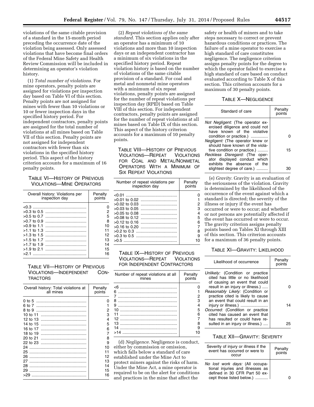violations of the same citable provision of a standard in the 15-month period preceding the occurrence date of the violation being assessed. Only assessed violations that have become final orders of the Federal Mine Safety and Health Review Commission will be included in determining an operator's violation history.

(1) *Total number of violations.* For mine operators, penalty points are assigned for violations per inspection day based on Table VI of this section. Penalty points are not assigned for mines with fewer than 10 violations or 10 or fewer inspection days in the specified history period. For independent contractors, penalty points are assigned for the total number of violations at all mines based on Table VII of this section. Penalty points are not assigned for independent contractors with fewer than six violations in the specified history period. This aspect of the history criterion accounts for a maximum of 16 penalty points.

# TABLE VI—HISTORY OF PREVIOUS VIOLATIONS—MINE OPERATORS

| Overall history: Violations per<br>inspection day | Penalty<br>points |
|---------------------------------------------------|-------------------|
|                                                   |                   |
|                                                   | 2                 |
| $>0.5$ to 0.7                                     | 5                 |
| $>0.7$ to 0.9                                     | 8                 |
|                                                   | 10                |
|                                                   | 11                |
| $>1.3$ to 1.5                                     | 12                |
| $>1.5$ to 1.7                                     | 13                |
| $>1.7$ to 1.9                                     | 14                |
|                                                   | 15                |
| >21                                               | 16                |

# TABLE VII—HISTORY OF PREVIOUS VIOLATIONS—INDEPENDENT CON-**TRACTORS**

| Overall history: Total violations at<br>all mines | Penalty<br>points |
|---------------------------------------------------|-------------------|
| 0 to 5                                            | n                 |
| 6 to 7                                            |                   |
| 8 to 9                                            | 2                 |
| 10 to 11                                          | 3                 |
| 12 to 13                                          | 4                 |
| 14 to 15                                          | 5                 |
| 16 to 17                                          | 6                 |
| 18 to 19                                          | 7                 |
| 20 to 21                                          | 8                 |
| 22 to 23                                          | 9                 |
| 24                                                | 10                |
| 25                                                | 11                |
| 26                                                | 12                |
| 27                                                | 13                |
| 28                                                | 14                |
| 29<br>.                                           | 15                |
| >29<br>.                                          | 16                |
|                                                   |                   |

(2) *Repeat violations of the same standard.* This section applies only after an operator has a minimum of 10 violations and more than 10 inspection days or an independent contractor has a minimum of six violations in the specified history period. Repeat violation history is based on the number of violations of the same citable provision of a standard. For coal and metal and nonmetal mine operators with a minimum of six repeat violations, penalty points are assigned for the number of repeat violations per inspection day (RPID) based on Table VIII of this section. For independent contractors, penalty points are assigned for the number of repeat violations at all mines based on Table IX of this section. This aspect of the history criterion accounts for a maximum of 10 penalty points.

TABLE VIII—HISTORY OF PREVIOUS VIOLATIONS—REPEAT VIOLATIONS FOR COAL AND METAL/NONMETAL OPERATORS WITH A MINIMUM OF SIX REPEAT VIOLATIONS

| Number of repeat violations per<br>inspection day                                                                        | Penalty<br>points      |
|--------------------------------------------------------------------------------------------------------------------------|------------------------|
| < 0.01<br>$>0.02$ to 0.03<br>$>0.03$ to 0.05<br>$>0.05$ to 0.08<br>$>0.08$ to 0.12<br>$>0.12$ to 0.16<br>$>0.16$ to 0.20 | 2<br>з<br>4<br>5<br>่ค |
| >0.5                                                                                                                     | я<br>я                 |

TABLE IX—HISTORY OF PREVIOUS VIOLATIONS—REPEAT VIOLATIONS FOR INDEPENDENT CONTRACTORS

| Number of repeat violations at all<br>mines | Penalty<br>points |
|---------------------------------------------|-------------------|
| $<$ 6                                       |                   |
| 6                                           |                   |
| 7                                           | 2                 |
| я                                           | з                 |
| я                                           |                   |
| 10                                          | 5                 |
| 11                                          | ่ค                |
| 12                                          |                   |
| 13                                          |                   |
| 14                                          | g                 |
| >14                                         | n                 |

(d) *Negligence.* Negligence is conduct, either by commission or omission, which falls below a standard of care established under the Mine Act to protect miners against the risks of harm. Under the Mine Act, a mine operator is required to be on the alert for conditions and practices in the mine that affect the

safety or health of miners and to take steps necessary to correct or prevent hazardous conditions or practices. The failure of a mine operator to exercise a high standard of care constitutes negligence. The negligence criterion assigns penalty points for the degree to which the operator failed to exercise a high standard of care based on conduct evaluated according to Table X of this section. This criterion accounts for a maximum of 30 penalty points.

#### TABLE X—NEGLIGENCE

| Standard of care                                                                                   | Penalty<br>points |
|----------------------------------------------------------------------------------------------------|-------------------|
| Not Negligent: (The operator ex-<br>ercised diligence and could not<br>have known of the violative |                   |
| condition or practice.)                                                                            |                   |
| Negligent: (The operator knew or                                                                   |                   |
| should have known of the viola-                                                                    |                   |
| tive condition or practice.)                                                                       | 15                |
| Reckless Disregard: (The oper-                                                                     |                   |
| ator displayed conduct which                                                                       |                   |
| exhibits the absence of the                                                                        |                   |
| slightest degree of care.)                                                                         |                   |

(e) *Gravity.* Gravity is an evaluation of the seriousness of the violation. Gravity is determined by the likelihood of the occurrence of the event against which a standard is directed; the severity of the illness or injury if the event has occurred or were to occur; and whether or not persons are potentially affected if the event has occurred or were to occur. The gravity criterion assigns penalty points based on Tables XI through XIII of this section. This criterion accounts for a maximum of 36 penalty points.

# TABLE XI—GRAVITY: LIKELIHOOD

| Likelihood of occurrence                                                                                                                    | Penalty<br>points |
|---------------------------------------------------------------------------------------------------------------------------------------------|-------------------|
| Unlikely: (Condition or practice<br>cited has little or no likelihood<br>of causing an event that could<br>result in an injury or illness.) |                   |
| Reasonably Likely: (Condition or<br>practice cited is likely to cause<br>an event that could result in an                                   |                   |
| injury or illness.)<br>Occurred: (Condition or practice<br>cited has caused an event that<br>has resulted or could have re-                 | 14                |
| sulted in an injury or illness.)                                                                                                            |                   |

# TABLE XII—GRAVITY: SEVERITY

| Severity of injury or illness if the<br>event has occurred or were to<br>OCCUL                                                    | Penalty<br>points |
|-----------------------------------------------------------------------------------------------------------------------------------|-------------------|
| No lost work days: (All occupa-<br>tional injuries and illnesses as<br>defined in 30 CFR Part 50 ex-<br>cept those listed below.) |                   |